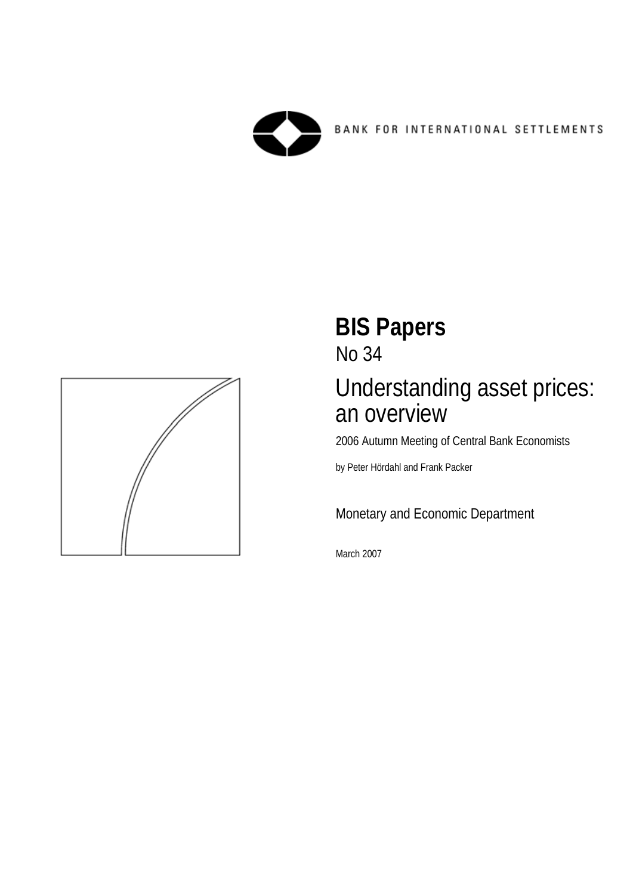



## **BIS Papers**  No 34

# Understanding asset prices: an overview

2006 Autumn Meeting of Central Bank Economists

by Peter Hördahl and Frank Packer

Monetary and Economic Department

March 2007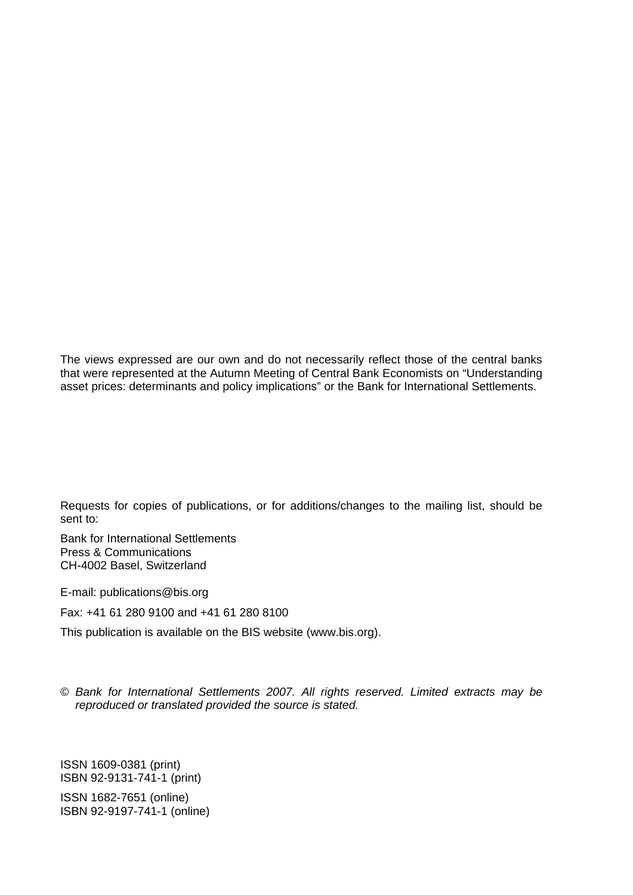The views expressed are our own and do not necessarily reflect those of the central banks that were represented at the Autumn Meeting of Central Bank Economists on "Understanding asset prices: determinants and policy implications" or the Bank for International Settlements.

Requests for copies of publications, or for additions/changes to the mailing list, should be sent to:

Bank for International Settlements Press & Communications CH-4002 Basel, Switzerland

E-mail: [publications@bis.org](mailto:publications@bis.org)

Fax: +41 61 280 9100 and +41 61 280 8100

This publication is available on the BIS website [\(www.bis.org\)](http://www.bis.org/).

© *Bank for International Settlements 2007. All rights reserved. Limited extracts may be reproduced or translated provided the source is stated.* 

ISSN 1609-0381 (print) ISBN 92-9131-741-1 (print)

ISSN 1682-7651 (online) ISBN 92-9197-741-1 (online)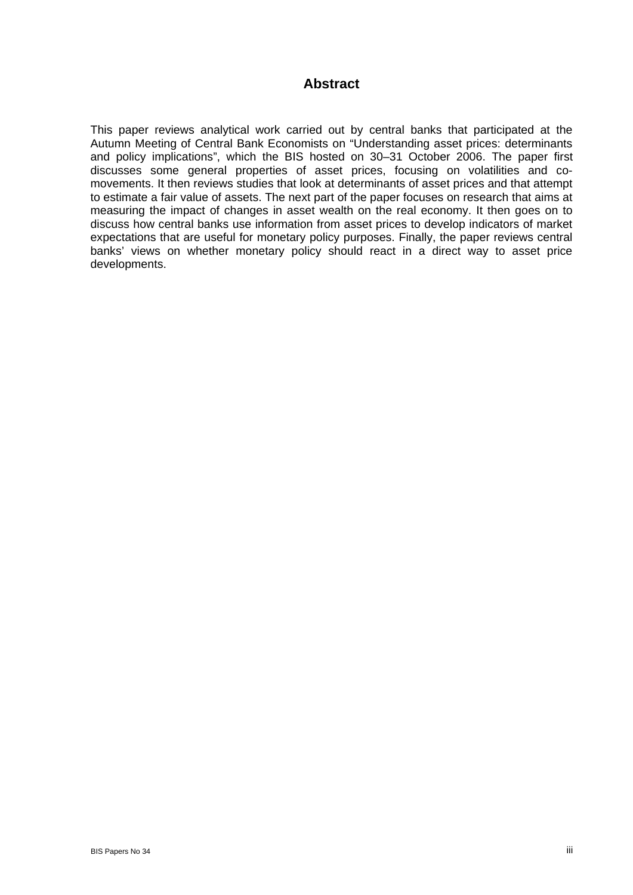### **Abstract**

This paper reviews analytical work carried out by central banks that participated at the Autumn Meeting of Central Bank Economists on "Understanding asset prices: determinants and policy implications", which the BIS hosted on 30–31 October 2006. The paper first discusses some general properties of asset prices, focusing on volatilities and comovements. It then reviews studies that look at determinants of asset prices and that attempt to estimate a fair value of assets. The next part of the paper focuses on research that aims at measuring the impact of changes in asset wealth on the real economy. It then goes on to discuss how central banks use information from asset prices to develop indicators of market expectations that are useful for monetary policy purposes. Finally, the paper reviews central banks' views on whether monetary policy should react in a direct way to asset price developments.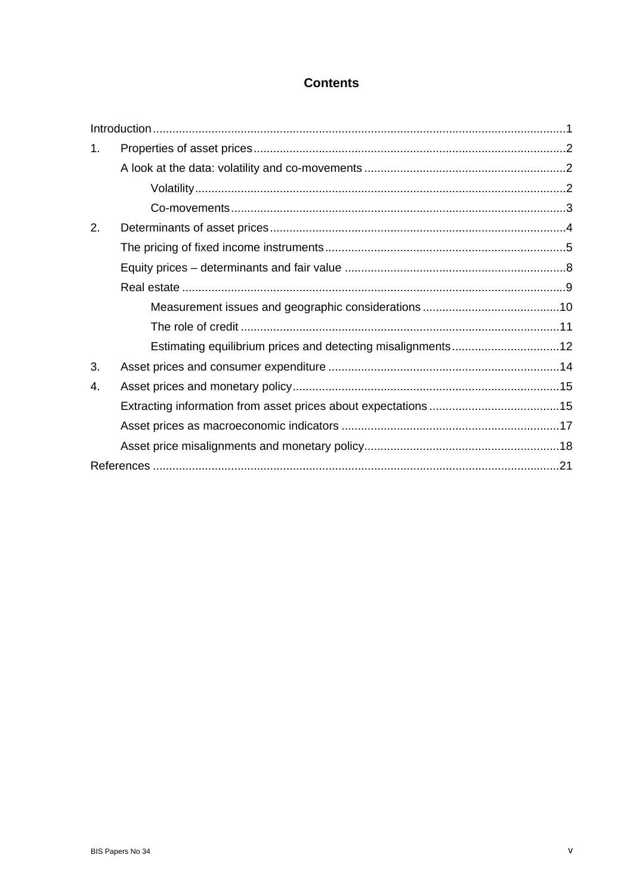## **Contents**

| 1. |                                                             |  |
|----|-------------------------------------------------------------|--|
|    |                                                             |  |
|    |                                                             |  |
|    |                                                             |  |
| 2. |                                                             |  |
|    |                                                             |  |
|    |                                                             |  |
|    |                                                             |  |
|    |                                                             |  |
|    |                                                             |  |
|    | Estimating equilibrium prices and detecting misalignments12 |  |
| 3. |                                                             |  |
| 4. |                                                             |  |
|    |                                                             |  |
|    |                                                             |  |
|    |                                                             |  |
|    |                                                             |  |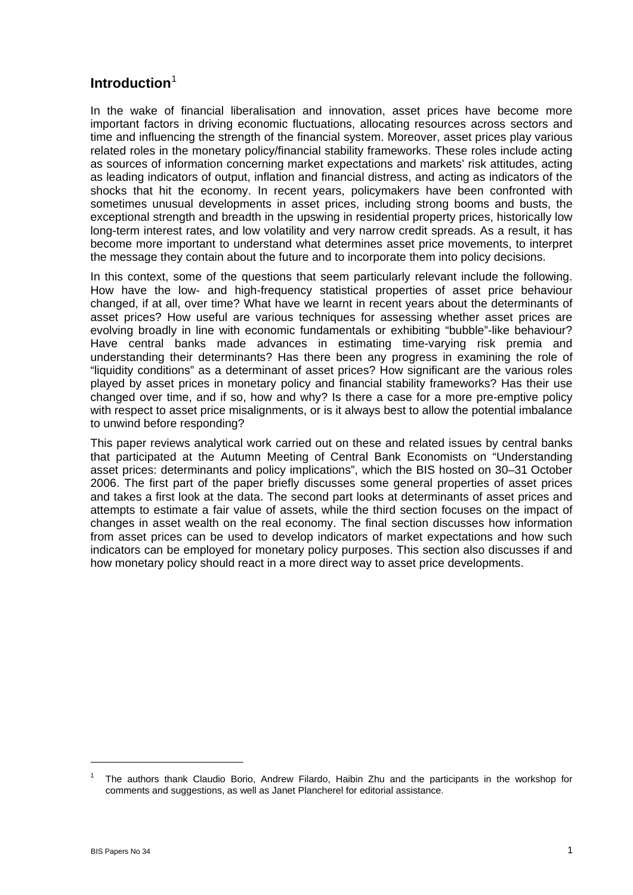## <span id="page-6-0"></span>**Introduction**[1](#page-6-1)

In the wake of financial liberalisation and innovation, asset prices have become more important factors in driving economic fluctuations, allocating resources across sectors and time and influencing the strength of the financial system. Moreover, asset prices play various related roles in the monetary policy/financial stability frameworks. These roles include acting as sources of information concerning market expectations and markets' risk attitudes, acting as leading indicators of output, inflation and financial distress, and acting as indicators of the shocks that hit the economy. In recent years, policymakers have been confronted with sometimes unusual developments in asset prices, including strong booms and busts, the exceptional strength and breadth in the upswing in residential property prices, historically low long-term interest rates, and low volatility and very narrow credit spreads. As a result, it has become more important to understand what determines asset price movements, to interpret the message they contain about the future and to incorporate them into policy decisions.

In this context, some of the questions that seem particularly relevant include the following. How have the low- and high-frequency statistical properties of asset price behaviour changed, if at all, over time? What have we learnt in recent years about the determinants of asset prices? How useful are various techniques for assessing whether asset prices are evolving broadly in line with economic fundamentals or exhibiting "bubble"-like behaviour? Have central banks made advances in estimating time-varying risk premia and understanding their determinants? Has there been any progress in examining the role of "liquidity conditions" as a determinant of asset prices? How significant are the various roles played by asset prices in monetary policy and financial stability frameworks? Has their use changed over time, and if so, how and why? Is there a case for a more pre-emptive policy with respect to asset price misalignments, or is it always best to allow the potential imbalance to unwind before responding?

This paper reviews analytical work carried out on these and related issues by central banks that participated at the Autumn Meeting of Central Bank Economists on "Understanding asset prices: determinants and policy implications", which the BIS hosted on 30–31 October 2006. The first part of the paper briefly discusses some general properties of asset prices and takes a first look at the data. The second part looks at determinants of asset prices and attempts to estimate a fair value of assets, while the third section focuses on the impact of changes in asset wealth on the real economy. The final section discusses how information from asset prices can be used to develop indicators of market expectations and how such indicators can be employed for monetary policy purposes. This section also discusses if and how monetary policy should react in a more direct way to asset price developments.

-

<span id="page-6-1"></span><sup>1</sup> The authors thank Claudio Borio, Andrew Filardo, Haibin Zhu and the participants in the workshop for comments and suggestions, as well as Janet Plancherel for editorial assistance.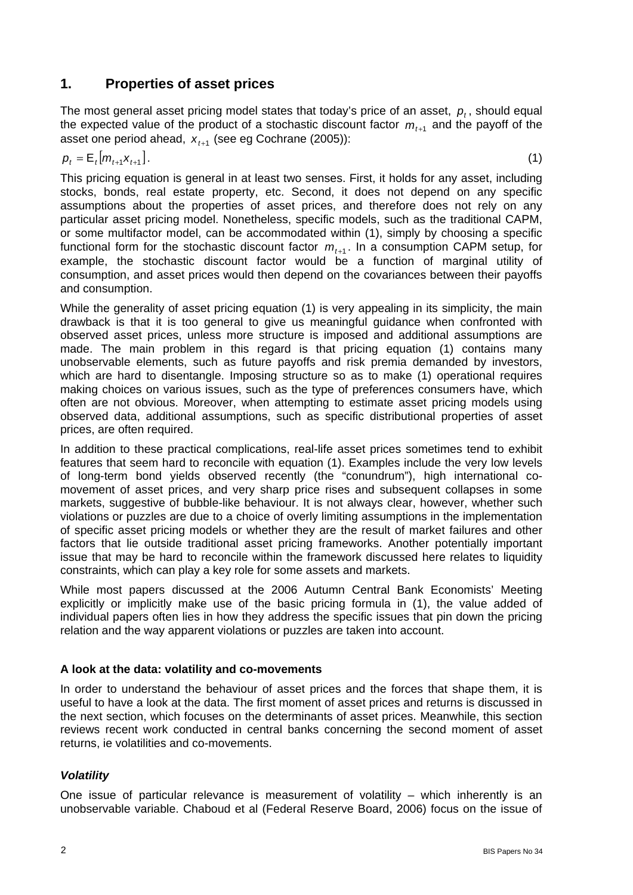## **1. Properties of asset prices**

The most general asset pricing model states that today's price of an asset,  $p_t$ , should equal the expected value of the product of a stochastic discount factor  $m_{t+1}$  and the payoff of the asset one period ahead,  $x_{t+1}$  (see eg Cochrane (2005)):

$$
p_t = \mathsf{E}_t[m_{t+1}X_{t+1}].
$$
\n<sup>(1)</sup>

This pricing equation is general in at least two senses. First, it holds for any asset, including stocks, bonds, real estate property, etc. Second, it does not depend on any specific assumptions about the properties of asset prices, and therefore does not rely on any particular asset pricing model. Nonetheless, specific models, such as the traditional CAPM, or some multifactor model, can be accommodated within (1), simply by choosing a specific functional form for the stochastic discount factor  $m_{t+1}$ . In a consumption CAPM setup, for example, the stochastic discount factor would be a function of marginal utility of consumption, and asset prices would then depend on the covariances between their payoffs and consumption.

While the generality of asset pricing equation (1) is very appealing in its simplicity, the main drawback is that it is too general to give us meaningful guidance when confronted with observed asset prices, unless more structure is imposed and additional assumptions are made. The main problem in this regard is that pricing equation (1) contains many unobservable elements, such as future payoffs and risk premia demanded by investors, which are hard to disentangle. Imposing structure so as to make (1) operational requires making choices on various issues, such as the type of preferences consumers have, which often are not obvious. Moreover, when attempting to estimate asset pricing models using observed data, additional assumptions, such as specific distributional properties of asset prices, are often required.

In addition to these practical complications, real-life asset prices sometimes tend to exhibit features that seem hard to reconcile with equation (1). Examples include the very low levels of long-term bond yields observed recently (the "conundrum"), high international comovement of asset prices, and very sharp price rises and subsequent collapses in some markets, suggestive of bubble-like behaviour. It is not always clear, however, whether such violations or puzzles are due to a choice of overly limiting assumptions in the implementation of specific asset pricing models or whether they are the result of market failures and other factors that lie outside traditional asset pricing frameworks. Another potentially important issue that may be hard to reconcile within the framework discussed here relates to liquidity constraints, which can play a key role for some assets and markets.

While most papers discussed at the 2006 Autumn Central Bank Economists' Meeting explicitly or implicitly make use of the basic pricing formula in (1), the value added of individual papers often lies in how they address the specific issues that pin down the pricing relation and the way apparent violations or puzzles are taken into account.

#### **A look at the data: volatility and co-movements**

In order to understand the behaviour of asset prices and the forces that shape them, it is useful to have a look at the data. The first moment of asset prices and returns is discussed in the next section, which focuses on the determinants of asset prices. Meanwhile, this section reviews recent work conducted in central banks concerning the second moment of asset returns, ie volatilities and co-movements.

#### *Volatility*

One issue of particular relevance is measurement of volatility – which inherently is an unobservable variable. Chaboud et al (Federal Reserve Board, 2006) focus on the issue of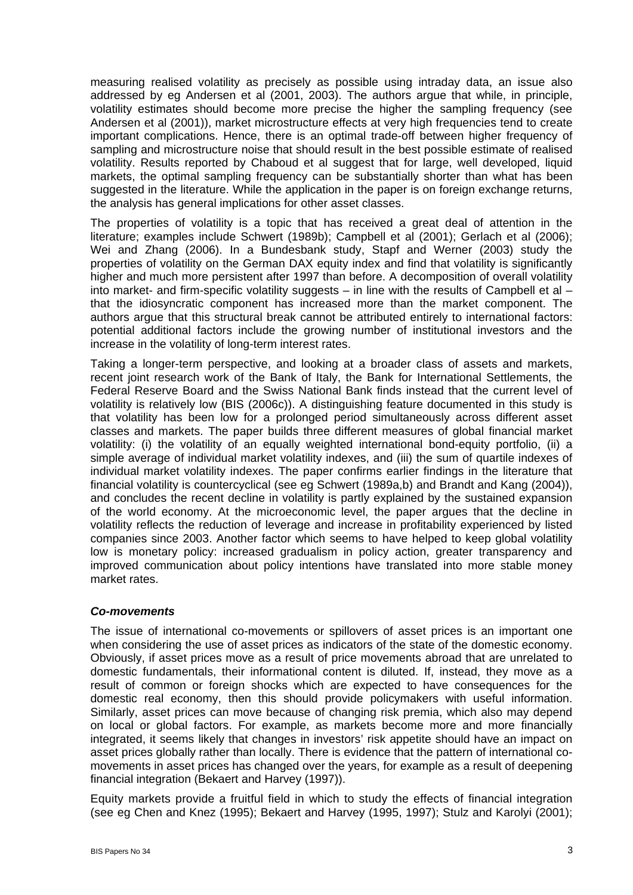measuring realised volatility as precisely as possible using intraday data, an issue also addressed by eg Andersen et al (2001, 2003). The authors argue that while, in principle, volatility estimates should become more precise the higher the sampling frequency (see Andersen et al (2001)), market microstructure effects at very high frequencies tend to create important complications. Hence, there is an optimal trade-off between higher frequency of sampling and microstructure noise that should result in the best possible estimate of realised volatility. Results reported by Chaboud et al suggest that for large, well developed, liquid markets, the optimal sampling frequency can be substantially shorter than what has been suggested in the literature. While the application in the paper is on foreign exchange returns, the analysis has general implications for other asset classes.

The properties of volatility is a topic that has received a great deal of attention in the literature; examples include Schwert (1989b); Campbell et al (2001); Gerlach et al (2006); Wei and Zhang (2006). In a Bundesbank study, Stapf and Werner (2003) study the properties of volatility on the German DAX equity index and find that volatility is significantly higher and much more persistent after 1997 than before. A decomposition of overall volatility into market- and firm-specific volatility suggests – in line with the results of Campbell et al – that the idiosyncratic component has increased more than the market component. The authors argue that this structural break cannot be attributed entirely to international factors: potential additional factors include the growing number of institutional investors and the increase in the volatility of long-term interest rates.

Taking a longer-term perspective, and looking at a broader class of assets and markets, recent joint research work of the Bank of Italy, the Bank for International Settlements, the Federal Reserve Board and the Swiss National Bank finds instead that the current level of volatility is relatively low (BIS (2006c)). A distinguishing feature documented in this study is that volatility has been low for a prolonged period simultaneously across different asset classes and markets. The paper builds three different measures of global financial market volatility: (i) the volatility of an equally weighted international bond-equity portfolio, (ii) a simple average of individual market volatility indexes, and (iii) the sum of quartile indexes of individual market volatility indexes. The paper confirms earlier findings in the literature that financial volatility is countercyclical (see eg Schwert (1989a,b) and Brandt and Kang (2004)), and concludes the recent decline in volatility is partly explained by the sustained expansion of the world economy. At the microeconomic level, the paper argues that the decline in volatility reflects the reduction of leverage and increase in profitability experienced by listed companies since 2003. Another factor which seems to have helped to keep global volatility low is monetary policy: increased gradualism in policy action, greater transparency and improved communication about policy intentions have translated into more stable money market rates.

#### *Co-movements*

The issue of international co-movements or spillovers of asset prices is an important one when considering the use of asset prices as indicators of the state of the domestic economy. Obviously, if asset prices move as a result of price movements abroad that are unrelated to domestic fundamentals, their informational content is diluted. If, instead, they move as a result of common or foreign shocks which are expected to have consequences for the domestic real economy, then this should provide policymakers with useful information. Similarly, asset prices can move because of changing risk premia, which also may depend on local or global factors. For example, as markets become more and more financially integrated, it seems likely that changes in investors' risk appetite should have an impact on asset prices globally rather than locally. There is evidence that the pattern of international comovements in asset prices has changed over the years, for example as a result of deepening financial integration (Bekaert and Harvey (1997)).

Equity markets provide a fruitful field in which to study the effects of financial integration (see eg Chen and Knez (1995); Bekaert and Harvey (1995, 1997); Stulz and Karolyi (2001);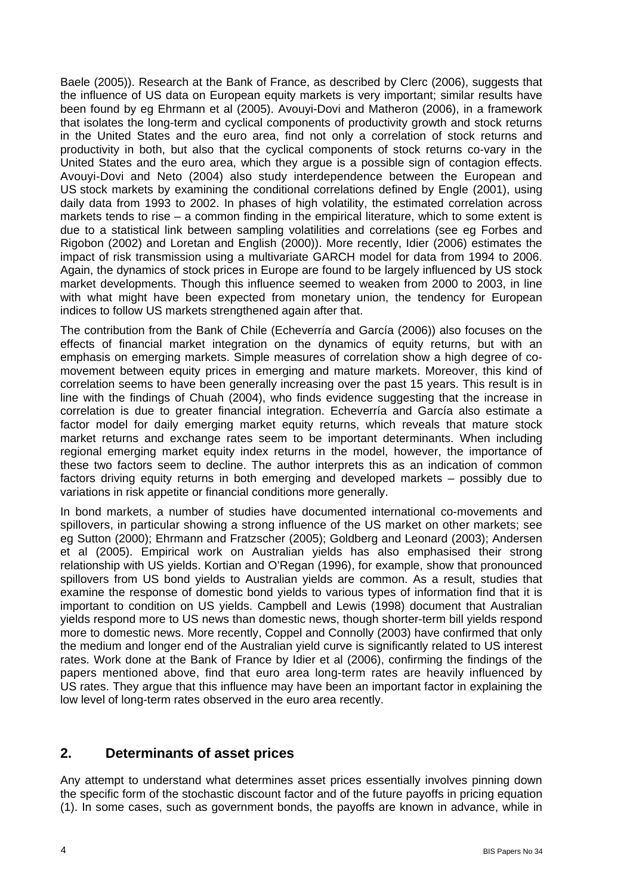Baele (2005)). Research at the Bank of France, as described by Clerc (2006), suggests that the influence of US data on European equity markets is very important; similar results have been found by eg Ehrmann et al (2005). Avouyi-Dovi and Matheron (2006), in a framework that isolates the long-term and cyclical components of productivity growth and stock returns in the United States and the euro area, find not only a correlation of stock returns and productivity in both, but also that the cyclical components of stock returns co-vary in the United States and the euro area, which they argue is a possible sign of contagion effects. Avouyi-Dovi and Neto (2004) also study interdependence between the European and US stock markets by examining the conditional correlations defined by Engle (2001), using daily data from 1993 to 2002. In phases of high volatility, the estimated correlation across markets tends to rise – a common finding in the empirical literature, which to some extent is due to a statistical link between sampling volatilities and correlations (see eg Forbes and Rigobon (2002) and Loretan and English (2000)). More recently, Idier (2006) estimates the impact of risk transmission using a multivariate GARCH model for data from 1994 to 2006. Again, the dynamics of stock prices in Europe are found to be largely influenced by US stock market developments. Though this influence seemed to weaken from 2000 to 2003, in line with what might have been expected from monetary union, the tendency for European indices to follow US markets strengthened again after that.

The contribution from the Bank of Chile (Echeverría and García (2006)) also focuses on the effects of financial market integration on the dynamics of equity returns, but with an emphasis on emerging markets. Simple measures of correlation show a high degree of comovement between equity prices in emerging and mature markets. Moreover, this kind of correlation seems to have been generally increasing over the past 15 years. This result is in line with the findings of Chuah (2004), who finds evidence suggesting that the increase in correlation is due to greater financial integration. Echeverría and García also estimate a factor model for daily emerging market equity returns, which reveals that mature stock market returns and exchange rates seem to be important determinants. When including regional emerging market equity index returns in the model, however, the importance of these two factors seem to decline. The author interprets this as an indication of common factors driving equity returns in both emerging and developed markets – possibly due to variations in risk appetite or financial conditions more generally.

In bond markets, a number of studies have documented international co-movements and spillovers, in particular showing a strong influence of the US market on other markets; see eg Sutton (2000); Ehrmann and Fratzscher (2005); Goldberg and Leonard (2003); Andersen et al (2005). Empirical work on Australian yields has also emphasised their strong relationship with US yields. Kortian and O'Regan (1996), for example, show that pronounced spillovers from US bond yields to Australian yields are common. As a result, studies that examine the response of domestic bond yields to various types of information find that it is important to condition on US yields. Campbell and Lewis (1998) document that Australian yields respond more to US news than domestic news, though shorter-term bill yields respond more to domestic news. More recently, Coppel and Connolly (2003) have confirmed that only the medium and longer end of the Australian yield curve is significantly related to US interest rates. Work done at the Bank of France by Idier et al (2006), confirming the findings of the papers mentioned above, find that euro area long-term rates are heavily influenced by US rates. They argue that this influence may have been an important factor in explaining the low level of long-term rates observed in the euro area recently.

## **2. Determinants of asset prices**

Any attempt to understand what determines asset prices essentially involves pinning down the specific form of the stochastic discount factor and of the future payoffs in pricing equation (1). In some cases, such as government bonds, the payoffs are known in advance, while in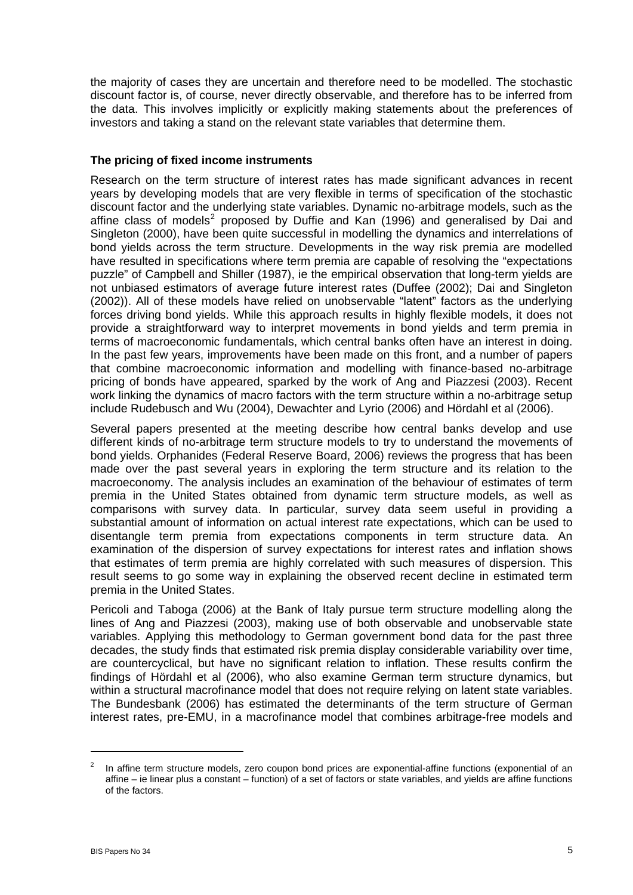<span id="page-10-0"></span>the majority of cases they are uncertain and therefore need to be modelled. The stochastic discount factor is, of course, never directly observable, and therefore has to be inferred from the data. This involves implicitly or explicitly making statements about the preferences of investors and taking a stand on the relevant state variables that determine them.

#### **The pricing of fixed income instruments**

Research on the term structure of interest rates has made significant advances in recent years by developing models that are very flexible in terms of specification of the stochastic discount factor and the underlying state variables. Dynamic no-arbitrage models, such as the affine class of models<sup>[2](#page-10-1)</sup> proposed by Duffie and Kan (1996) and generalised by Dai and Singleton (2000), have been quite successful in modelling the dynamics and interrelations of bond yields across the term structure. Developments in the way risk premia are modelled have resulted in specifications where term premia are capable of resolving the "expectations puzzle" of Campbell and Shiller (1987), ie the empirical observation that long-term yields are not unbiased estimators of average future interest rates (Duffee (2002); Dai and Singleton (2002)). All of these models have relied on unobservable "latent" factors as the underlying forces driving bond yields. While this approach results in highly flexible models, it does not provide a straightforward way to interpret movements in bond yields and term premia in terms of macroeconomic fundamentals, which central banks often have an interest in doing. In the past few years, improvements have been made on this front, and a number of papers that combine macroeconomic information and modelling with finance-based no-arbitrage pricing of bonds have appeared, sparked by the work of Ang and Piazzesi (2003). Recent work linking the dynamics of macro factors with the term structure within a no-arbitrage setup include Rudebusch and Wu (2004), Dewachter and Lyrio (2006) and Hördahl et al (2006).

Several papers presented at the meeting describe how central banks develop and use different kinds of no-arbitrage term structure models to try to understand the movements of bond yields. Orphanides (Federal Reserve Board, 2006) reviews the progress that has been made over the past several years in exploring the term structure and its relation to the macroeconomy. The analysis includes an examination of the behaviour of estimates of term premia in the United States obtained from dynamic term structure models, as well as comparisons with survey data. In particular, survey data seem useful in providing a substantial amount of information on actual interest rate expectations, which can be used to disentangle term premia from expectations components in term structure data. An examination of the dispersion of survey expectations for interest rates and inflation shows that estimates of term premia are highly correlated with such measures of dispersion. This result seems to go some way in explaining the observed recent decline in estimated term premia in the United States.

Pericoli and Taboga (2006) at the Bank of Italy pursue term structure modelling along the lines of Ang and Piazzesi (2003), making use of both observable and unobservable state variables. Applying this methodology to German government bond data for the past three decades, the study finds that estimated risk premia display considerable variability over time, are countercyclical, but have no significant relation to inflation. These results confirm the findings of Hördahl et al (2006), who also examine German term structure dynamics, but within a structural macrofinance model that does not require relying on latent state variables. The Bundesbank (2006) has estimated the determinants of the term structure of German interest rates, pre-EMU, in a macrofinance model that combines arbitrage-free models and

1

<span id="page-10-1"></span><sup>2</sup> In affine term structure models, zero coupon bond prices are exponential-affine functions (exponential of an affine – ie linear plus a constant – function) of a set of factors or state variables, and yields are affine functions of the factors.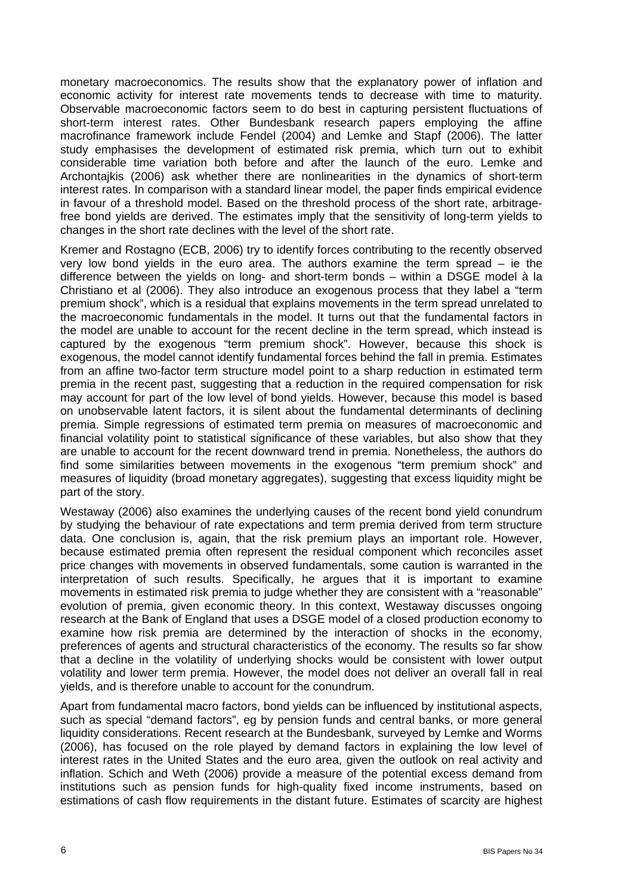monetary macroeconomics. The results show that the explanatory power of inflation and economic activity for interest rate movements tends to decrease with time to maturity. Observable macroeconomic factors seem to do best in capturing persistent fluctuations of short-term interest rates. Other Bundesbank research papers employing the affine macrofinance framework include Fendel (2004) and Lemke and Stapf (2006). The latter study emphasises the development of estimated risk premia, which turn out to exhibit considerable time variation both before and after the launch of the euro. Lemke and Archontajkis (2006) ask whether there are nonlinearities in the dynamics of short-term interest rates. In comparison with a standard linear model, the paper finds empirical evidence in favour of a threshold model. Based on the threshold process of the short rate, arbitragefree bond yields are derived. The estimates imply that the sensitivity of long-term yields to changes in the short rate declines with the level of the short rate.

Kremer and Rostagno (ECB, 2006) try to identify forces contributing to the recently observed very low bond yields in the euro area. The authors examine the term spread – ie the difference between the yields on long- and short-term bonds – within a DSGE model à la Christiano et al (2006). They also introduce an exogenous process that they label a "term premium shock", which is a residual that explains movements in the term spread unrelated to the macroeconomic fundamentals in the model. It turns out that the fundamental factors in the model are unable to account for the recent decline in the term spread, which instead is captured by the exogenous "term premium shock". However, because this shock is exogenous, the model cannot identify fundamental forces behind the fall in premia. Estimates from an affine two-factor term structure model point to a sharp reduction in estimated term premia in the recent past, suggesting that a reduction in the required compensation for risk may account for part of the low level of bond yields. However, because this model is based on unobservable latent factors, it is silent about the fundamental determinants of declining premia. Simple regressions of estimated term premia on measures of macroeconomic and financial volatility point to statistical significance of these variables, but also show that they are unable to account for the recent downward trend in premia. Nonetheless, the authors do find some similarities between movements in the exogenous "term premium shock" and measures of liquidity (broad monetary aggregates), suggesting that excess liquidity might be part of the story.

Westaway (2006) also examines the underlying causes of the recent bond yield conundrum by studying the behaviour of rate expectations and term premia derived from term structure data. One conclusion is, again, that the risk premium plays an important role. However, because estimated premia often represent the residual component which reconciles asset price changes with movements in observed fundamentals, some caution is warranted in the interpretation of such results. Specifically, he argues that it is important to examine movements in estimated risk premia to judge whether they are consistent with a "reasonable" evolution of premia, given economic theory. In this context, Westaway discusses ongoing research at the Bank of England that uses a DSGE model of a closed production economy to examine how risk premia are determined by the interaction of shocks in the economy, preferences of agents and structural characteristics of the economy. The results so far show that a decline in the volatility of underlying shocks would be consistent with lower output volatility and lower term premia. However, the model does not deliver an overall fall in real yields, and is therefore unable to account for the conundrum.

Apart from fundamental macro factors, bond yields can be influenced by institutional aspects, such as special "demand factors", eg by pension funds and central banks, or more general liquidity considerations. Recent research at the Bundesbank, surveyed by Lemke and Worms (2006), has focused on the role played by demand factors in explaining the low level of interest rates in the United States and the euro area, given the outlook on real activity and inflation. Schich and Weth (2006) provide a measure of the potential excess demand from institutions such as pension funds for high-quality fixed income instruments, based on estimations of cash flow requirements in the distant future. Estimates of scarcity are highest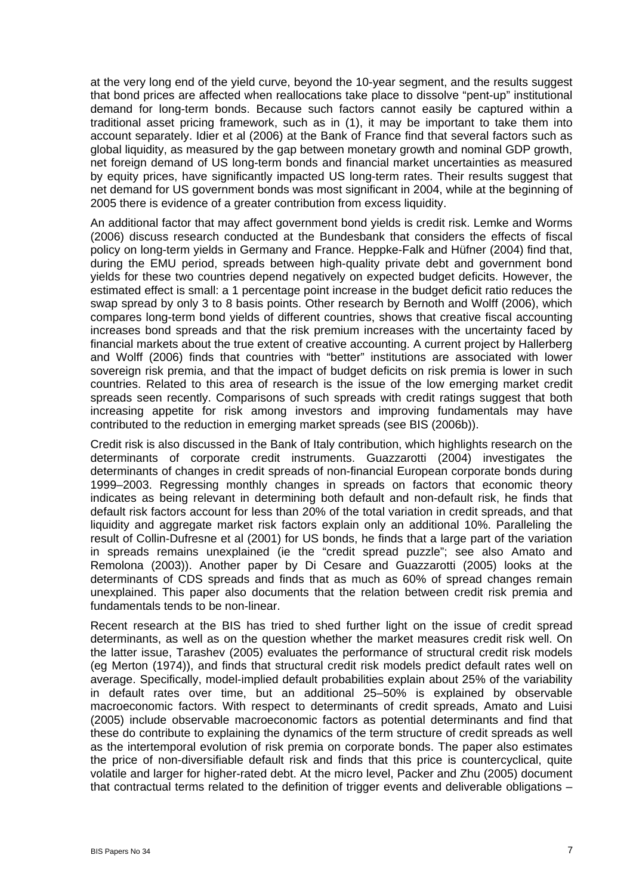at the very long end of the yield curve, beyond the 10-year segment, and the results suggest that bond prices are affected when reallocations take place to dissolve "pent-up" institutional demand for long-term bonds. Because such factors cannot easily be captured within a traditional asset pricing framework, such as in (1), it may be important to take them into account separately. Idier et al (2006) at the Bank of France find that several factors such as global liquidity, as measured by the gap between monetary growth and nominal GDP growth, net foreign demand of US long-term bonds and financial market uncertainties as measured by equity prices, have significantly impacted US long-term rates. Their results suggest that net demand for US government bonds was most significant in 2004, while at the beginning of 2005 there is evidence of a greater contribution from excess liquidity.

An additional factor that may affect government bond yields is credit risk. Lemke and Worms (2006) discuss research conducted at the Bundesbank that considers the effects of fiscal policy on long-term yields in Germany and France. Heppke-Falk and Hüfner (2004) find that, during the EMU period, spreads between high-quality private debt and government bond yields for these two countries depend negatively on expected budget deficits. However, the estimated effect is small: a 1 percentage point increase in the budget deficit ratio reduces the swap spread by only 3 to 8 basis points. Other research by Bernoth and Wolff (2006), which compares long-term bond yields of different countries, shows that creative fiscal accounting increases bond spreads and that the risk premium increases with the uncertainty faced by financial markets about the true extent of creative accounting. A current project by Hallerberg and Wolff (2006) finds that countries with "better" institutions are associated with lower sovereign risk premia, and that the impact of budget deficits on risk premia is lower in such countries. Related to this area of research is the issue of the low emerging market credit spreads seen recently. Comparisons of such spreads with credit ratings suggest that both increasing appetite for risk among investors and improving fundamentals may have contributed to the reduction in emerging market spreads (see BIS (2006b)).

Credit risk is also discussed in the Bank of Italy contribution, which highlights research on the determinants of corporate credit instruments. Guazzarotti (2004) investigates the determinants of changes in credit spreads of non-financial European corporate bonds during 1999–2003. Regressing monthly changes in spreads on factors that economic theory indicates as being relevant in determining both default and non-default risk, he finds that default risk factors account for less than 20% of the total variation in credit spreads, and that liquidity and aggregate market risk factors explain only an additional 10%. Paralleling the result of Collin-Dufresne et al (2001) for US bonds, he finds that a large part of the variation in spreads remains unexplained (ie the "credit spread puzzle"; see also Amato and Remolona (2003)). Another paper by Di Cesare and Guazzarotti (2005) looks at the determinants of CDS spreads and finds that as much as 60% of spread changes remain unexplained. This paper also documents that the relation between credit risk premia and fundamentals tends to be non-linear.

Recent research at the BIS has tried to shed further light on the issue of credit spread determinants, as well as on the question whether the market measures credit risk well. On the latter issue, Tarashev (2005) evaluates the performance of structural credit risk models (eg Merton (1974)), and finds that structural credit risk models predict default rates well on average. Specifically, model-implied default probabilities explain about 25% of the variability in default rates over time, but an additional 25–50% is explained by observable macroeconomic factors. With respect to determinants of credit spreads, Amato and Luisi (2005) include observable macroeconomic factors as potential determinants and find that these do contribute to explaining the dynamics of the term structure of credit spreads as well as the intertemporal evolution of risk premia on corporate bonds. The paper also estimates the price of non-diversifiable default risk and finds that this price is countercyclical, quite volatile and larger for higher-rated debt. At the micro level, Packer and Zhu (2005) document that contractual terms related to the definition of trigger events and deliverable obligations –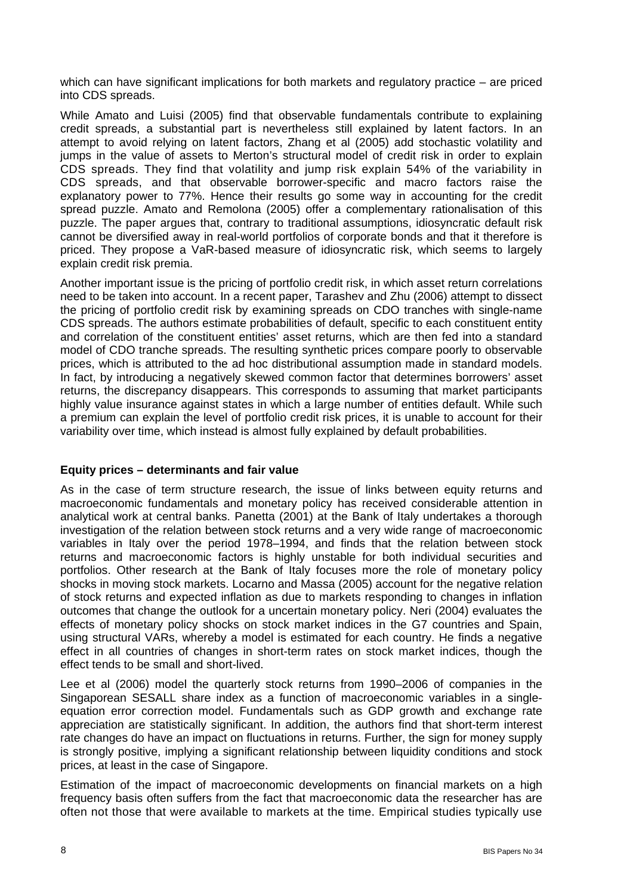<span id="page-13-0"></span>which can have significant implications for both markets and regulatory practice – are priced into CDS spreads.

While Amato and Luisi (2005) find that observable fundamentals contribute to explaining credit spreads, a substantial part is nevertheless still explained by latent factors. In an attempt to avoid relying on latent factors, Zhang et al (2005) add stochastic volatility and jumps in the value of assets to Merton's structural model of credit risk in order to explain CDS spreads. They find that volatility and jump risk explain 54% of the variability in CDS spreads, and that observable borrower-specific and macro factors raise the explanatory power to 77%. Hence their results go some way in accounting for the credit spread puzzle. Amato and Remolona (2005) offer a complementary rationalisation of this puzzle. The paper argues that, contrary to traditional assumptions, idiosyncratic default risk cannot be diversified away in real-world portfolios of corporate bonds and that it therefore is priced. They propose a VaR-based measure of idiosyncratic risk, which seems to largely explain credit risk premia.

Another important issue is the pricing of portfolio credit risk, in which asset return correlations need to be taken into account. In a recent paper, Tarashev and Zhu (2006) attempt to dissect the pricing of portfolio credit risk by examining spreads on CDO tranches with single-name CDS spreads. The authors estimate probabilities of default, specific to each constituent entity and correlation of the constituent entities' asset returns, which are then fed into a standard model of CDO tranche spreads. The resulting synthetic prices compare poorly to observable prices, which is attributed to the ad hoc distributional assumption made in standard models. In fact, by introducing a negatively skewed common factor that determines borrowers' asset returns, the discrepancy disappears. This corresponds to assuming that market participants highly value insurance against states in which a large number of entities default. While such a premium can explain the level of portfolio credit risk prices, it is unable to account for their variability over time, which instead is almost fully explained by default probabilities.

#### **Equity prices – determinants and fair value**

As in the case of term structure research, the issue of links between equity returns and macroeconomic fundamentals and monetary policy has received considerable attention in analytical work at central banks. Panetta (2001) at the Bank of Italy undertakes a thorough investigation of the relation between stock returns and a very wide range of macroeconomic variables in Italy over the period 1978–1994, and finds that the relation between stock returns and macroeconomic factors is highly unstable for both individual securities and portfolios. Other research at the Bank of Italy focuses more the role of monetary policy shocks in moving stock markets. Locarno and Massa (2005) account for the negative relation of stock returns and expected inflation as due to markets responding to changes in inflation outcomes that change the outlook for a uncertain monetary policy. Neri (2004) evaluates the effects of monetary policy shocks on stock market indices in the G7 countries and Spain, using structural VARs, whereby a model is estimated for each country. He finds a negative effect in all countries of changes in short-term rates on stock market indices, though the effect tends to be small and short-lived.

Lee et al (2006) model the quarterly stock returns from 1990–2006 of companies in the Singaporean SESALL share index as a function of macroeconomic variables in a singleequation error correction model. Fundamentals such as GDP growth and exchange rate appreciation are statistically significant. In addition, the authors find that short-term interest rate changes do have an impact on fluctuations in returns. Further, the sign for money supply is strongly positive, implying a significant relationship between liquidity conditions and stock prices, at least in the case of Singapore.

Estimation of the impact of macroeconomic developments on financial markets on a high frequency basis often suffers from the fact that macroeconomic data the researcher has are often not those that were available to markets at the time. Empirical studies typically use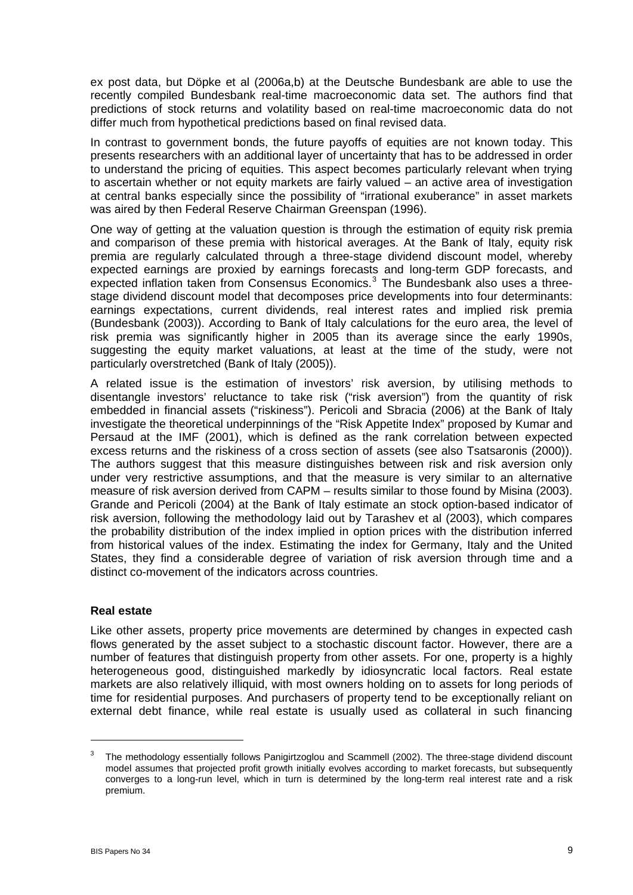<span id="page-14-0"></span>ex post data, but Döpke et al (2006a,b) at the Deutsche Bundesbank are able to use the recently compiled Bundesbank real-time macroeconomic data set. The authors find that predictions of stock returns and volatility based on real-time macroeconomic data do not differ much from hypothetical predictions based on final revised data.

In contrast to government bonds, the future payoffs of equities are not known today. This presents researchers with an additional layer of uncertainty that has to be addressed in order to understand the pricing of equities. This aspect becomes particularly relevant when trying to ascertain whether or not equity markets are fairly valued – an active area of investigation at central banks especially since the possibility of "irrational exuberance" in asset markets was aired by then Federal Reserve Chairman Greenspan (1996).

One way of getting at the valuation question is through the estimation of equity risk premia and comparison of these premia with historical averages. At the Bank of Italy, equity risk premia are regularly calculated through a three-stage dividend discount model, whereby expected earnings are proxied by earnings forecasts and long-term GDP forecasts, and expected inflation taken from Consensus Economics.<sup>[3](#page-14-1)</sup> The Bundesbank also uses a threestage dividend discount model that decomposes price developments into four determinants: earnings expectations, current dividends, real interest rates and implied risk premia (Bundesbank (2003)). According to Bank of Italy calculations for the euro area, the level of risk premia was significantly higher in 2005 than its average since the early 1990s, suggesting the equity market valuations, at least at the time of the study, were not particularly overstretched (Bank of Italy (2005)).

A related issue is the estimation of investors' risk aversion, by utilising methods to disentangle investors' reluctance to take risk ("risk aversion") from the quantity of risk embedded in financial assets ("riskiness"). Pericoli and Sbracia (2006) at the Bank of Italy investigate the theoretical underpinnings of the "Risk Appetite Index" proposed by Kumar and Persaud at the IMF (2001), which is defined as the rank correlation between expected excess returns and the riskiness of a cross section of assets (see also Tsatsaronis (2000)). The authors suggest that this measure distinguishes between risk and risk aversion only under very restrictive assumptions, and that the measure is very similar to an alternative measure of risk aversion derived from CAPM – results similar to those found by Misina (2003). Grande and Pericoli (2004) at the Bank of Italy estimate an stock option-based indicator of risk aversion, following the methodology laid out by Tarashev et al (2003), which compares the probability distribution of the index implied in option prices with the distribution inferred from historical values of the index. Estimating the index for Germany, Italy and the United States, they find a considerable degree of variation of risk aversion through time and a distinct co-movement of the indicators across countries.

#### **Real estate**

Like other assets, property price movements are determined by changes in expected cash flows generated by the asset subject to a stochastic discount factor. However, there are a number of features that distinguish property from other assets. For one, property is a highly heterogeneous good, distinguished markedly by idiosyncratic local factors. Real estate markets are also relatively illiquid, with most owners holding on to assets for long periods of time for residential purposes. And purchasers of property tend to be exceptionally reliant on external debt finance, while real estate is usually used as collateral in such financing

1

<span id="page-14-1"></span><sup>3</sup> The methodology essentially follows Panigirtzoglou and Scammell (2002). The three-stage dividend discount model assumes that projected profit growth initially evolves according to market forecasts, but subsequently converges to a long-run level, which in turn is determined by the long-term real interest rate and a risk premium.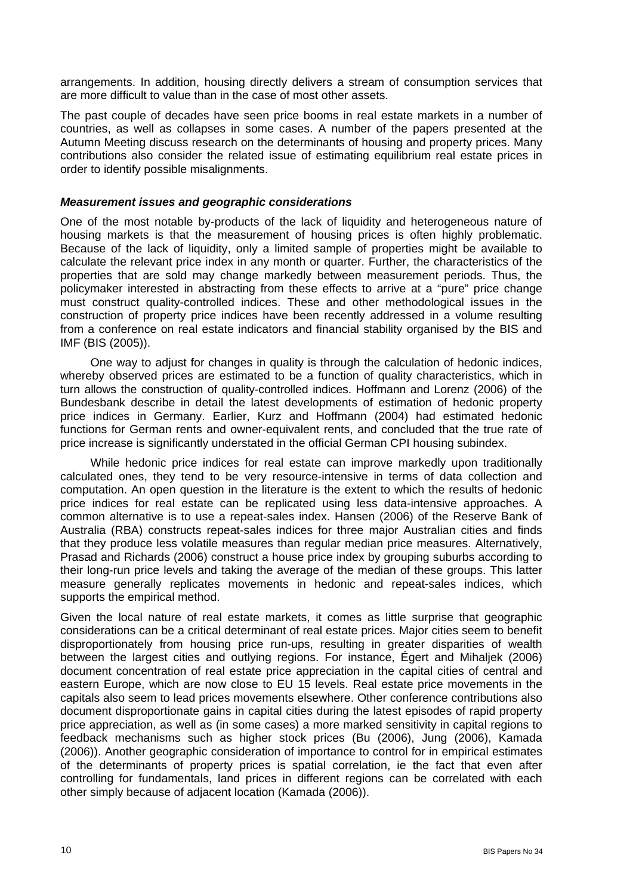<span id="page-15-0"></span>arrangements. In addition, housing directly delivers a stream of consumption services that are more difficult to value than in the case of most other assets.

The past couple of decades have seen price booms in real estate markets in a number of countries, as well as collapses in some cases. A number of the papers presented at the Autumn Meeting discuss research on the determinants of housing and property prices. Many contributions also consider the related issue of estimating equilibrium real estate prices in order to identify possible misalignments.

#### *Measurement issues and geographic considerations*

One of the most notable by-products of the lack of liquidity and heterogeneous nature of housing markets is that the measurement of housing prices is often highly problematic. Because of the lack of liquidity, only a limited sample of properties might be available to calculate the relevant price index in any month or quarter. Further, the characteristics of the properties that are sold may change markedly between measurement periods. Thus, the policymaker interested in abstracting from these effects to arrive at a "pure" price change must construct quality-controlled indices. These and other methodological issues in the construction of property price indices have been recently addressed in a volume resulting from a conference on real estate indicators and financial stability organised by the BIS and IMF (BIS (2005)).

 One way to adjust for changes in quality is through the calculation of hedonic indices, whereby observed prices are estimated to be a function of quality characteristics, which in turn allows the construction of quality-controlled indices. Hoffmann and Lorenz (2006) of the Bundesbank describe in detail the latest developments of estimation of hedonic property price indices in Germany. Earlier, Kurz and Hoffmann (2004) had estimated hedonic functions for German rents and owner-equivalent rents, and concluded that the true rate of price increase is significantly understated in the official German CPI housing subindex.

 While hedonic price indices for real estate can improve markedly upon traditionally calculated ones, they tend to be very resource-intensive in terms of data collection and computation. An open question in the literature is the extent to which the results of hedonic price indices for real estate can be replicated using less data-intensive approaches. A common alternative is to use a repeat-sales index. Hansen (2006) of the Reserve Bank of Australia (RBA) constructs repeat-sales indices for three major Australian cities and finds that they produce less volatile measures than regular median price measures. Alternatively, Prasad and Richards (2006) construct a house price index by grouping suburbs according to their long-run price levels and taking the average of the median of these groups. This latter measure generally replicates movements in hedonic and repeat-sales indices, which supports the empirical method.

Given the local nature of real estate markets, it comes as little surprise that geographic considerations can be a critical determinant of real estate prices. Major cities seem to benefit disproportionately from housing price run-ups, resulting in greater disparities of wealth between the largest cities and outlying regions. For instance, Égert and Mihaljek (2006) document concentration of real estate price appreciation in the capital cities of central and eastern Europe, which are now close to EU 15 levels. Real estate price movements in the capitals also seem to lead prices movements elsewhere. Other conference contributions also document disproportionate gains in capital cities during the latest episodes of rapid property price appreciation, as well as (in some cases) a more marked sensitivity in capital regions to feedback mechanisms such as higher stock prices (Bu (2006), Jung (2006), Kamada (2006)). Another geographic consideration of importance to control for in empirical estimates of the determinants of property prices is spatial correlation, ie the fact that even after controlling for fundamentals, land prices in different regions can be correlated with each other simply because of adjacent location (Kamada (2006)).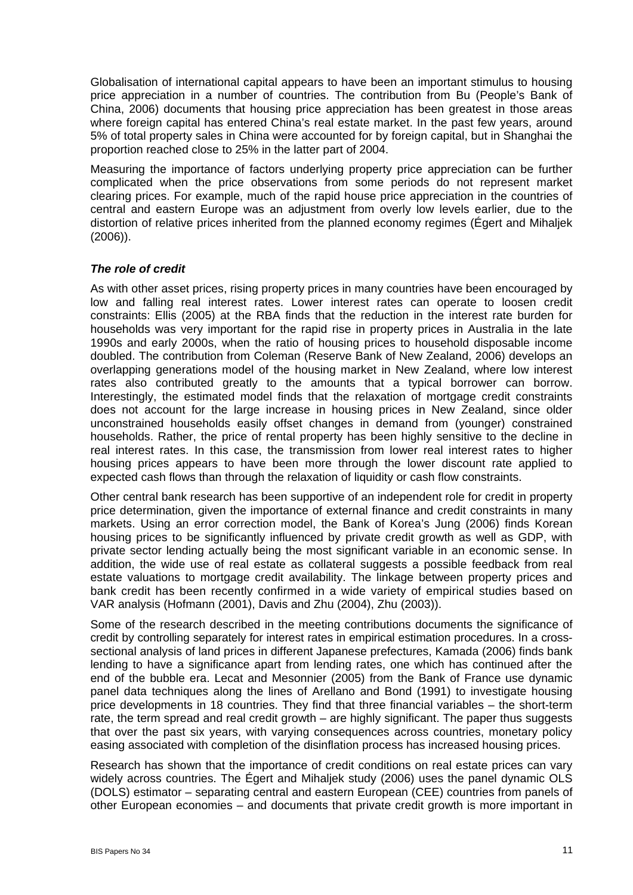<span id="page-16-0"></span>Globalisation of international capital appears to have been an important stimulus to housing price appreciation in a number of countries. The contribution from Bu (People's Bank of China, 2006) documents that housing price appreciation has been greatest in those areas where foreign capital has entered China's real estate market. In the past few years, around 5% of total property sales in China were accounted for by foreign capital, but in Shanghai the proportion reached close to 25% in the latter part of 2004.

Measuring the importance of factors underlying property price appreciation can be further complicated when the price observations from some periods do not represent market clearing prices. For example, much of the rapid house price appreciation in the countries of central and eastern Europe was an adjustment from overly low levels earlier, due to the distortion of relative prices inherited from the planned economy regimes (Égert and Mihaljek (2006)).

#### *The role of credit*

As with other asset prices, rising property prices in many countries have been encouraged by low and falling real interest rates. Lower interest rates can operate to loosen credit constraints: Ellis (2005) at the RBA finds that the reduction in the interest rate burden for households was very important for the rapid rise in property prices in Australia in the late 1990s and early 2000s, when the ratio of housing prices to household disposable income doubled. The contribution from Coleman (Reserve Bank of New Zealand, 2006) develops an overlapping generations model of the housing market in New Zealand, where low interest rates also contributed greatly to the amounts that a typical borrower can borrow. Interestingly, the estimated model finds that the relaxation of mortgage credit constraints does not account for the large increase in housing prices in New Zealand, since older unconstrained households easily offset changes in demand from (younger) constrained households. Rather, the price of rental property has been highly sensitive to the decline in real interest rates. In this case, the transmission from lower real interest rates to higher housing prices appears to have been more through the lower discount rate applied to expected cash flows than through the relaxation of liquidity or cash flow constraints.

Other central bank research has been supportive of an independent role for credit in property price determination, given the importance of external finance and credit constraints in many markets. Using an error correction model, the Bank of Korea's Jung (2006) finds Korean housing prices to be significantly influenced by private credit growth as well as GDP, with private sector lending actually being the most significant variable in an economic sense. In addition, the wide use of real estate as collateral suggests a possible feedback from real estate valuations to mortgage credit availability. The linkage between property prices and bank credit has been recently confirmed in a wide variety of empirical studies based on VAR analysis (Hofmann (2001), Davis and Zhu (2004), Zhu (2003)).

Some of the research described in the meeting contributions documents the significance of credit by controlling separately for interest rates in empirical estimation procedures. In a crosssectional analysis of land prices in different Japanese prefectures, Kamada (2006) finds bank lending to have a significance apart from lending rates, one which has continued after the end of the bubble era. Lecat and Mesonnier (2005) from the Bank of France use dynamic panel data techniques along the lines of Arellano and Bond (1991) to investigate housing price developments in 18 countries. They find that three financial variables – the short-term rate, the term spread and real credit growth – are highly significant. The paper thus suggests that over the past six years, with varying consequences across countries, monetary policy easing associated with completion of the disinflation process has increased housing prices.

Research has shown that the importance of credit conditions on real estate prices can vary widely across countries. The Égert and Mihaljek study (2006) uses the panel dynamic OLS (DOLS) estimator – separating central and eastern European (CEE) countries from panels of other European economies – and documents that private credit growth is more important in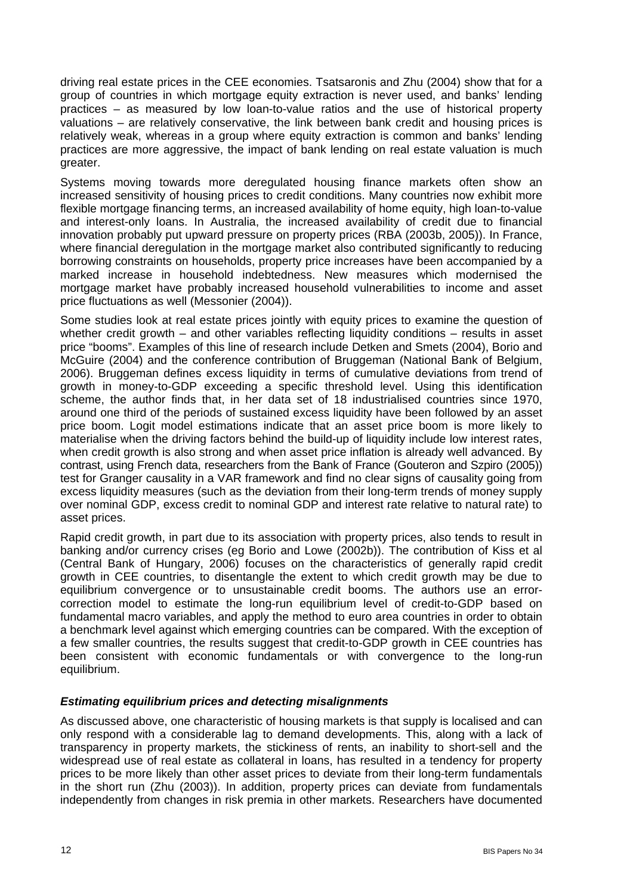<span id="page-17-0"></span>driving real estate prices in the CEE economies. Tsatsaronis and Zhu (2004) show that for a group of countries in which mortgage equity extraction is never used, and banks' lending practices – as measured by low loan-to-value ratios and the use of historical property valuations – are relatively conservative, the link between bank credit and housing prices is relatively weak, whereas in a group where equity extraction is common and banks' lending practices are more aggressive, the impact of bank lending on real estate valuation is much greater.

Systems moving towards more deregulated housing finance markets often show an increased sensitivity of housing prices to credit conditions. Many countries now exhibit more flexible mortgage financing terms, an increased availability of home equity, high loan-to-value and interest-only loans. In Australia, the increased availability of credit due to financial innovation probably put upward pressure on property prices (RBA (2003b, 2005)). In France, where financial deregulation in the mortgage market also contributed significantly to reducing borrowing constraints on households, property price increases have been accompanied by a marked increase in household indebtedness. New measures which modernised the mortgage market have probably increased household vulnerabilities to income and asset price fluctuations as well (Messonier (2004)).

Some studies look at real estate prices jointly with equity prices to examine the question of whether credit growth – and other variables reflecting liquidity conditions – results in asset price "booms". Examples of this line of research include Detken and Smets (2004), Borio and McGuire (2004) and the conference contribution of Bruggeman (National Bank of Belgium, 2006). Bruggeman defines excess liquidity in terms of cumulative deviations from trend of growth in money-to-GDP exceeding a specific threshold level. Using this identification scheme, the author finds that, in her data set of 18 industrialised countries since 1970, around one third of the periods of sustained excess liquidity have been followed by an asset price boom. Logit model estimations indicate that an asset price boom is more likely to materialise when the driving factors behind the build-up of liquidity include low interest rates, when credit growth is also strong and when asset price inflation is already well advanced. By contrast, using French data, researchers from the Bank of France (Gouteron and Szpiro (2005)) test for Granger causality in a VAR framework and find no clear signs of causality going from excess liquidity measures (such as the deviation from their long-term trends of money supply over nominal GDP, excess credit to nominal GDP and interest rate relative to natural rate) to asset prices.

Rapid credit growth, in part due to its association with property prices, also tends to result in banking and/or currency crises (eg Borio and Lowe (2002b)). The contribution of Kiss et al (Central Bank of Hungary, 2006) focuses on the characteristics of generally rapid credit growth in CEE countries, to disentangle the extent to which credit growth may be due to equilibrium convergence or to unsustainable credit booms. The authors use an errorcorrection model to estimate the long-run equilibrium level of credit-to-GDP based on fundamental macro variables, and apply the method to euro area countries in order to obtain a benchmark level against which emerging countries can be compared. With the exception of a few smaller countries, the results suggest that credit-to-GDP growth in CEE countries has been consistent with economic fundamentals or with convergence to the long-run equilibrium.

#### *Estimating equilibrium prices and detecting misalignments*

As discussed above, one characteristic of housing markets is that supply is localised and can only respond with a considerable lag to demand developments. This, along with a lack of transparency in property markets, the stickiness of rents, an inability to short-sell and the widespread use of real estate as collateral in loans, has resulted in a tendency for property prices to be more likely than other asset prices to deviate from their long-term fundamentals in the short run (Zhu (2003)). In addition, property prices can deviate from fundamentals independently from changes in risk premia in other markets. Researchers have documented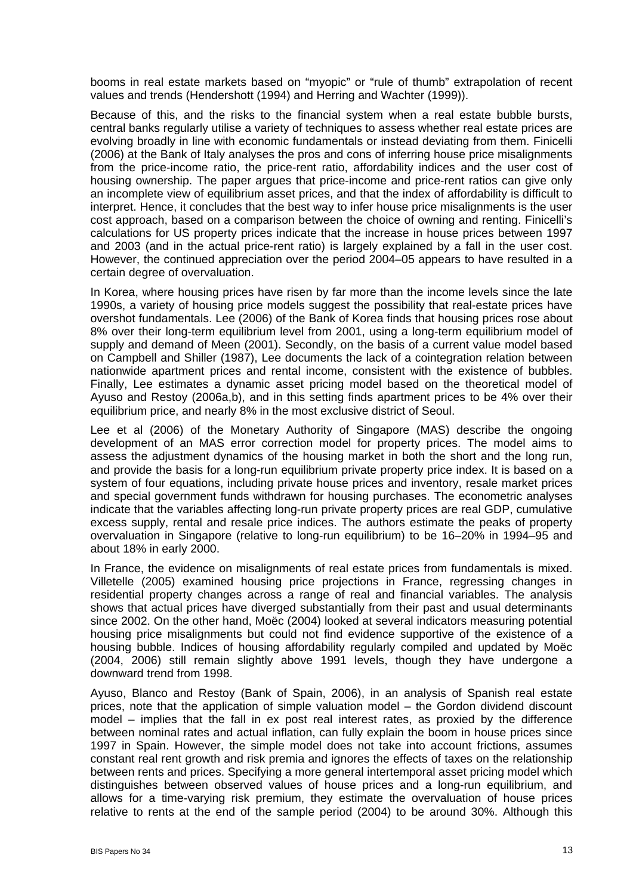booms in real estate markets based on "myopic" or "rule of thumb" extrapolation of recent values and trends (Hendershott (1994) and Herring and Wachter (1999)).

Because of this, and the risks to the financial system when a real estate bubble bursts, central banks regularly utilise a variety of techniques to assess whether real estate prices are evolving broadly in line with economic fundamentals or instead deviating from them. Finicelli (2006) at the Bank of Italy analyses the pros and cons of inferring house price misalignments from the price-income ratio, the price-rent ratio, affordability indices and the user cost of housing ownership. The paper argues that price-income and price-rent ratios can give only an incomplete view of equilibrium asset prices, and that the index of affordability is difficult to interpret. Hence, it concludes that the best way to infer house price misalignments is the user cost approach, based on a comparison between the choice of owning and renting. Finicelli's calculations for US property prices indicate that the increase in house prices between 1997 and 2003 (and in the actual price-rent ratio) is largely explained by a fall in the user cost. However, the continued appreciation over the period 2004–05 appears to have resulted in a certain degree of overvaluation.

In Korea, where housing prices have risen by far more than the income levels since the late 1990s, a variety of housing price models suggest the possibility that real-estate prices have overshot fundamentals. Lee (2006) of the Bank of Korea finds that housing prices rose about 8% over their long-term equilibrium level from 2001, using a long-term equilibrium model of supply and demand of Meen (2001). Secondly, on the basis of a current value model based on Campbell and Shiller (1987), Lee documents the lack of a cointegration relation between nationwide apartment prices and rental income, consistent with the existence of bubbles. Finally, Lee estimates a dynamic asset pricing model based on the theoretical model of Ayuso and Restoy (2006a,b), and in this setting finds apartment prices to be 4% over their equilibrium price, and nearly 8% in the most exclusive district of Seoul.

Lee et al (2006) of the Monetary Authority of Singapore (MAS) describe the ongoing development of an MAS error correction model for property prices. The model aims to assess the adjustment dynamics of the housing market in both the short and the long run, and provide the basis for a long-run equilibrium private property price index. It is based on a system of four equations, including private house prices and inventory, resale market prices and special government funds withdrawn for housing purchases. The econometric analyses indicate that the variables affecting long-run private property prices are real GDP, cumulative excess supply, rental and resale price indices. The authors estimate the peaks of property overvaluation in Singapore (relative to long-run equilibrium) to be 16–20% in 1994–95 and about 18% in early 2000.

In France, the evidence on misalignments of real estate prices from fundamentals is mixed. Villetelle (2005) examined housing price projections in France, regressing changes in residential property changes across a range of real and financial variables. The analysis shows that actual prices have diverged substantially from their past and usual determinants since 2002. On the other hand, Moëc (2004) looked at several indicators measuring potential housing price misalignments but could not find evidence supportive of the existence of a housing bubble. Indices of housing affordability regularly compiled and updated by Moëc (2004, 2006) still remain slightly above 1991 levels, though they have undergone a downward trend from 1998.

Ayuso, Blanco and Restoy (Bank of Spain, 2006), in an analysis of Spanish real estate prices, note that the application of simple valuation model – the Gordon dividend discount model – implies that the fall in ex post real interest rates, as proxied by the difference between nominal rates and actual inflation, can fully explain the boom in house prices since 1997 in Spain. However, the simple model does not take into account frictions, assumes constant real rent growth and risk premia and ignores the effects of taxes on the relationship between rents and prices. Specifying a more general intertemporal asset pricing model which distinguishes between observed values of house prices and a long-run equilibrium, and allows for a time-varying risk premium, they estimate the overvaluation of house prices relative to rents at the end of the sample period (2004) to be around 30%. Although this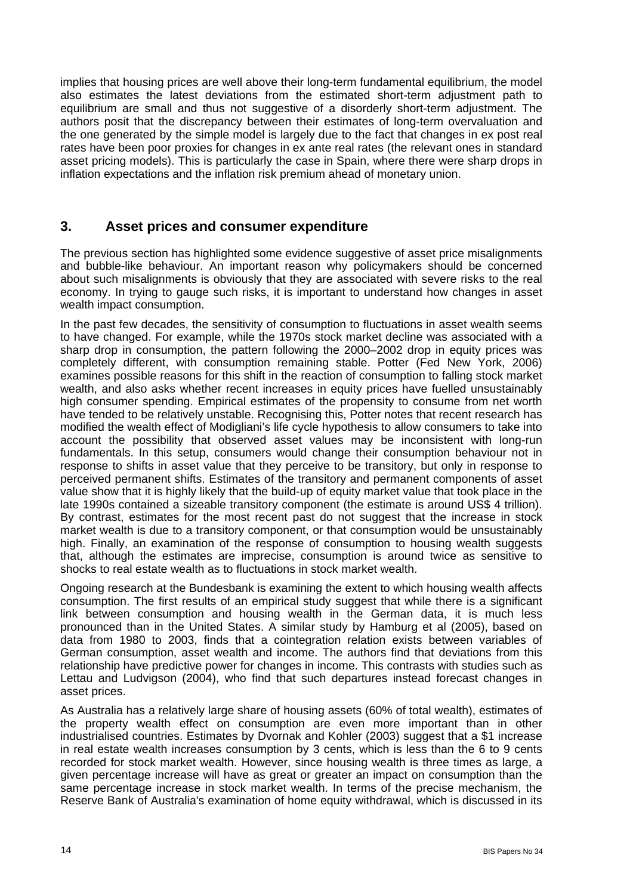<span id="page-19-0"></span>implies that housing prices are well above their long-term fundamental equilibrium, the model also estimates the latest deviations from the estimated short-term adjustment path to equilibrium are small and thus not suggestive of a disorderly short-term adjustment. The authors posit that the discrepancy between their estimates of long-term overvaluation and the one generated by the simple model is largely due to the fact that changes in ex post real rates have been poor proxies for changes in ex ante real rates (the relevant ones in standard asset pricing models). This is particularly the case in Spain, where there were sharp drops in inflation expectations and the inflation risk premium ahead of monetary union.

### **3. Asset prices and consumer expenditure**

The previous section has highlighted some evidence suggestive of asset price misalignments and bubble-like behaviour. An important reason why policymakers should be concerned about such misalignments is obviously that they are associated with severe risks to the real economy. In trying to gauge such risks, it is important to understand how changes in asset wealth impact consumption.

In the past few decades, the sensitivity of consumption to fluctuations in asset wealth seems to have changed. For example, while the 1970s stock market decline was associated with a sharp drop in consumption, the pattern following the 2000–2002 drop in equity prices was completely different, with consumption remaining stable. Potter (Fed New York, 2006) examines possible reasons for this shift in the reaction of consumption to falling stock market wealth, and also asks whether recent increases in equity prices have fuelled unsustainably high consumer spending. Empirical estimates of the propensity to consume from net worth have tended to be relatively unstable. Recognising this, Potter notes that recent research has modified the wealth effect of Modigliani's life cycle hypothesis to allow consumers to take into account the possibility that observed asset values may be inconsistent with long-run fundamentals. In this setup, consumers would change their consumption behaviour not in response to shifts in asset value that they perceive to be transitory, but only in response to perceived permanent shifts. Estimates of the transitory and permanent components of asset value show that it is highly likely that the build-up of equity market value that took place in the late 1990s contained a sizeable transitory component (the estimate is around US\$ 4 trillion). By contrast, estimates for the most recent past do not suggest that the increase in stock market wealth is due to a transitory component, or that consumption would be unsustainably high. Finally, an examination of the response of consumption to housing wealth suggests that, although the estimates are imprecise, consumption is around twice as sensitive to shocks to real estate wealth as to fluctuations in stock market wealth.

Ongoing research at the Bundesbank is examining the extent to which housing wealth affects consumption. The first results of an empirical study suggest that while there is a significant link between consumption and housing wealth in the German data, it is much less pronounced than in the United States. A similar study by Hamburg et al (2005), based on data from 1980 to 2003, finds that a cointegration relation exists between variables of German consumption, asset wealth and income. The authors find that deviations from this relationship have predictive power for changes in income. This contrasts with studies such as Lettau and Ludvigson (2004), who find that such departures instead forecast changes in asset prices.

As Australia has a relatively large share of housing assets (60% of total wealth), estimates of the property wealth effect on consumption are even more important than in other industrialised countries. Estimates by Dvornak and Kohler (2003) suggest that a \$1 increase in real estate wealth increases consumption by 3 cents, which is less than the 6 to 9 cents recorded for stock market wealth. However, since housing wealth is three times as large, a given percentage increase will have as great or greater an impact on consumption than the same percentage increase in stock market wealth. In terms of the precise mechanism, the Reserve Bank of Australia's examination of home equity withdrawal, which is discussed in its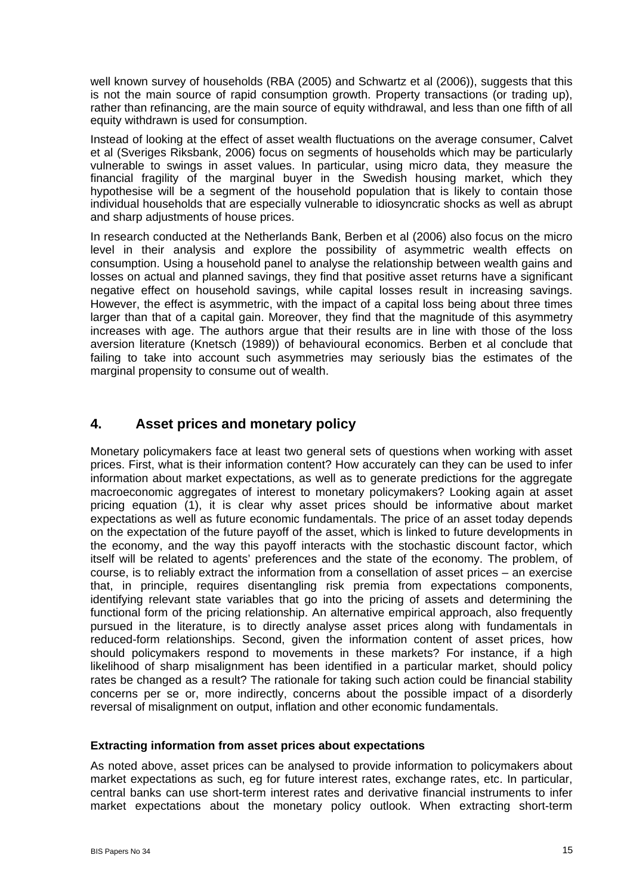well known survey of households (RBA (2005) and Schwartz et al (2006)), suggests that this is not the main source of rapid consumption growth. Property transactions (or trading up), rather than refinancing, are the main source of equity withdrawal, and less than one fifth of all equity withdrawn is used for consumption.

Instead of looking at the effect of asset wealth fluctuations on the average consumer, Calvet et al (Sveriges Riksbank, 2006) focus on segments of households which may be particularly vulnerable to swings in asset values. In particular, using micro data, they measure the financial fragility of the marginal buyer in the Swedish housing market, which they hypothesise will be a segment of the household population that is likely to contain those individual households that are especially vulnerable to idiosyncratic shocks as well as abrupt and sharp adjustments of house prices.

In research conducted at the Netherlands Bank, Berben et al (2006) also focus on the micro level in their analysis and explore the possibility of asymmetric wealth effects on consumption. Using a household panel to analyse the relationship between wealth gains and losses on actual and planned savings, they find that positive asset returns have a significant negative effect on household savings, while capital losses result in increasing savings. However, the effect is asymmetric, with the impact of a capital loss being about three times larger than that of a capital gain. Moreover, they find that the magnitude of this asymmetry increases with age. The authors argue that their results are in line with those of the loss aversion literature (Knetsch (1989)) of behavioural economics. Berben et al conclude that failing to take into account such asymmetries may seriously bias the estimates of the marginal propensity to consume out of wealth.

## **4. Asset prices and monetary policy**

Monetary policymakers face at least two general sets of questions when working with asset prices. First, what is their information content? How accurately can they can be used to infer information about market expectations, as well as to generate predictions for the aggregate macroeconomic aggregates of interest to monetary policymakers? Looking again at asset pricing equation (1), it is clear why asset prices should be informative about market expectations as well as future economic fundamentals. The price of an asset today depends on the expectation of the future payoff of the asset, which is linked to future developments in the economy, and the way this payoff interacts with the stochastic discount factor, which itself will be related to agents' preferences and the state of the economy. The problem, of course, is to reliably extract the information from a consellation of asset prices – an exercise that, in principle, requires disentangling risk premia from expectations components, identifying relevant state variables that go into the pricing of assets and determining the functional form of the pricing relationship. An alternative empirical approach, also frequently pursued in the literature, is to directly analyse asset prices along with fundamentals in reduced-form relationships. Second, given the information content of asset prices, how should policymakers respond to movements in these markets? For instance, if a high likelihood of sharp misalignment has been identified in a particular market, should policy rates be changed as a result? The rationale for taking such action could be financial stability concerns per se or, more indirectly, concerns about the possible impact of a disorderly reversal of misalignment on output, inflation and other economic fundamentals.

#### **Extracting information from asset prices about expectations**

As noted above, asset prices can be analysed to provide information to policymakers about market expectations as such, eg for future interest rates, exchange rates, etc. In particular, central banks can use short-term interest rates and derivative financial instruments to infer market expectations about the monetary policy outlook. When extracting short-term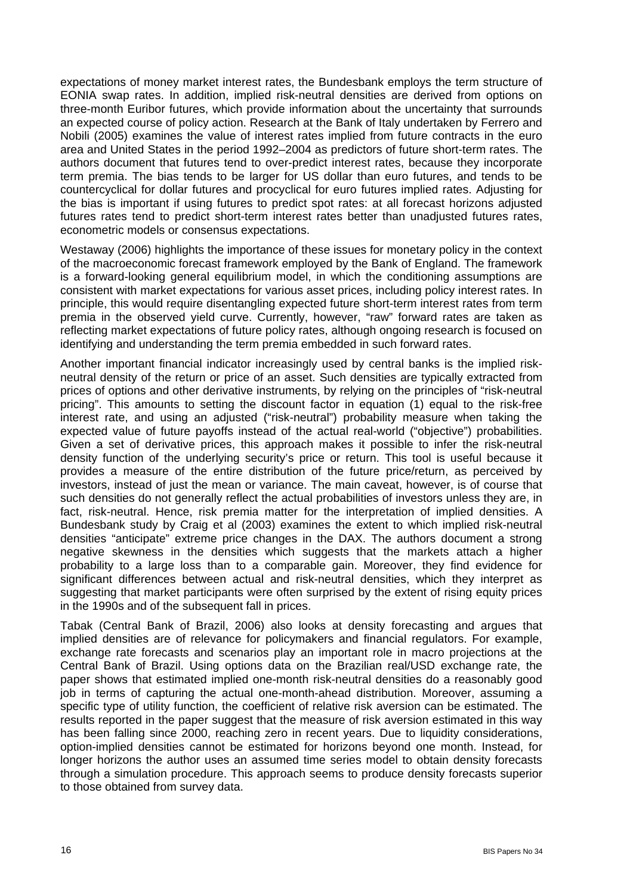expectations of money market interest rates, the Bundesbank employs the term structure of EONIA swap rates. In addition, implied risk-neutral densities are derived from options on three-month Euribor futures, which provide information about the uncertainty that surrounds an expected course of policy action. Research at the Bank of Italy undertaken by Ferrero and Nobili (2005) examines the value of interest rates implied from future contracts in the euro area and United States in the period 1992–2004 as predictors of future short-term rates. The authors document that futures tend to over-predict interest rates, because they incorporate term premia. The bias tends to be larger for US dollar than euro futures, and tends to be countercyclical for dollar futures and procyclical for euro futures implied rates. Adjusting for the bias is important if using futures to predict spot rates: at all forecast horizons adjusted futures rates tend to predict short-term interest rates better than unadiusted futures rates. econometric models or consensus expectations.

Westaway (2006) highlights the importance of these issues for monetary policy in the context of the macroeconomic forecast framework employed by the Bank of England. The framework is a forward-looking general equilibrium model, in which the conditioning assumptions are consistent with market expectations for various asset prices, including policy interest rates. In principle, this would require disentangling expected future short-term interest rates from term premia in the observed yield curve. Currently, however, "raw" forward rates are taken as reflecting market expectations of future policy rates, although ongoing research is focused on identifying and understanding the term premia embedded in such forward rates.

Another important financial indicator increasingly used by central banks is the implied riskneutral density of the return or price of an asset. Such densities are typically extracted from prices of options and other derivative instruments, by relying on the principles of "risk-neutral pricing". This amounts to setting the discount factor in equation (1) equal to the risk-free interest rate, and using an adjusted ("risk-neutral") probability measure when taking the expected value of future payoffs instead of the actual real-world ("objective") probabilities. Given a set of derivative prices, this approach makes it possible to infer the risk-neutral density function of the underlying security's price or return. This tool is useful because it provides a measure of the entire distribution of the future price/return, as perceived by investors, instead of just the mean or variance. The main caveat, however, is of course that such densities do not generally reflect the actual probabilities of investors unless they are, in fact, risk-neutral. Hence, risk premia matter for the interpretation of implied densities. A Bundesbank study by Craig et al (2003) examines the extent to which implied risk-neutral densities "anticipate" extreme price changes in the DAX. The authors document a strong negative skewness in the densities which suggests that the markets attach a higher probability to a large loss than to a comparable gain. Moreover, they find evidence for significant differences between actual and risk-neutral densities, which they interpret as suggesting that market participants were often surprised by the extent of rising equity prices in the 1990s and of the subsequent fall in prices.

Tabak (Central Bank of Brazil, 2006) also looks at density forecasting and argues that implied densities are of relevance for policymakers and financial regulators. For example, exchange rate forecasts and scenarios play an important role in macro projections at the Central Bank of Brazil. Using options data on the Brazilian real/USD exchange rate, the paper shows that estimated implied one-month risk-neutral densities do a reasonably good job in terms of capturing the actual one-month-ahead distribution. Moreover, assuming a specific type of utility function, the coefficient of relative risk aversion can be estimated. The results reported in the paper suggest that the measure of risk aversion estimated in this way has been falling since 2000, reaching zero in recent years. Due to liquidity considerations, option-implied densities cannot be estimated for horizons beyond one month. Instead, for longer horizons the author uses an assumed time series model to obtain density forecasts through a simulation procedure. This approach seems to produce density forecasts superior to those obtained from survey data.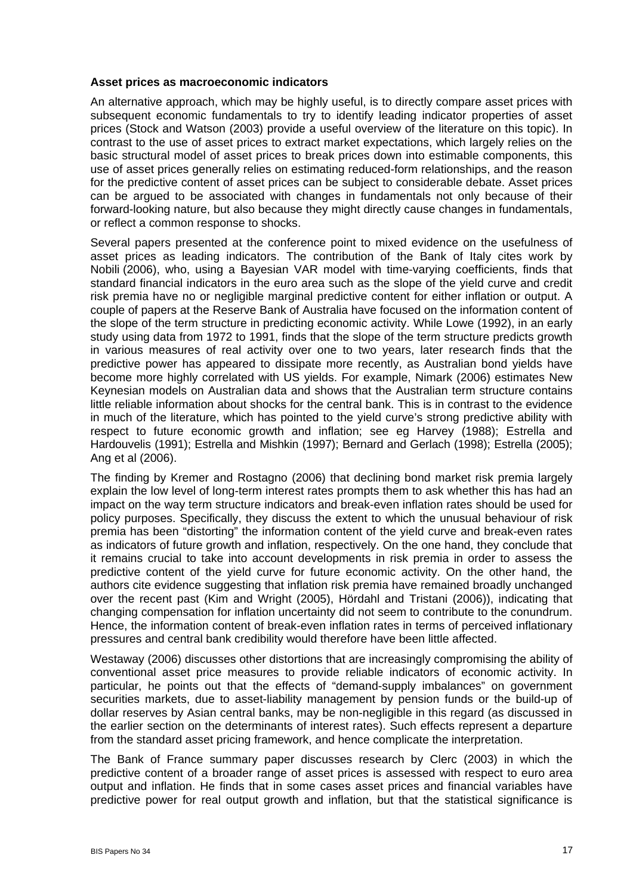#### <span id="page-22-0"></span>**Asset prices as macroeconomic indicators**

An alternative approach, which may be highly useful, is to directly compare asset prices with subsequent economic fundamentals to try to identify leading indicator properties of asset prices (Stock and Watson (2003) provide a useful overview of the literature on this topic). In contrast to the use of asset prices to extract market expectations, which largely relies on the basic structural model of asset prices to break prices down into estimable components, this use of asset prices generally relies on estimating reduced-form relationships, and the reason for the predictive content of asset prices can be subject to considerable debate. Asset prices can be argued to be associated with changes in fundamentals not only because of their forward-looking nature, but also because they might directly cause changes in fundamentals, or reflect a common response to shocks.

Several papers presented at the conference point to mixed evidence on the usefulness of asset prices as leading indicators. The contribution of the Bank of Italy cites work by Nobili (2006), who, using a Bayesian VAR model with time-varying coefficients, finds that standard financial indicators in the euro area such as the slope of the yield curve and credit risk premia have no or negligible marginal predictive content for either inflation or output. A couple of papers at the Reserve Bank of Australia have focused on the information content of the slope of the term structure in predicting economic activity. While Lowe (1992), in an early study using data from 1972 to 1991, finds that the slope of the term structure predicts growth in various measures of real activity over one to two years, later research finds that the predictive power has appeared to dissipate more recently, as Australian bond yields have become more highly correlated with US yields. For example, Nimark (2006) estimates New Keynesian models on Australian data and shows that the Australian term structure contains little reliable information about shocks for the central bank. This is in contrast to the evidence in much of the literature, which has pointed to the yield curve's strong predictive ability with respect to future economic growth and inflation; see eg Harvey (1988); Estrella and Hardouvelis (1991); Estrella and Mishkin (1997); Bernard and Gerlach (1998); Estrella (2005); Ang et al (2006).

The finding by Kremer and Rostagno (2006) that declining bond market risk premia largely explain the low level of long-term interest rates prompts them to ask whether this has had an impact on the way term structure indicators and break-even inflation rates should be used for policy purposes. Specifically, they discuss the extent to which the unusual behaviour of risk premia has been "distorting" the information content of the yield curve and break-even rates as indicators of future growth and inflation, respectively. On the one hand, they conclude that it remains crucial to take into account developments in risk premia in order to assess the predictive content of the yield curve for future economic activity. On the other hand, the authors cite evidence suggesting that inflation risk premia have remained broadly unchanged over the recent past (Kim and Wright (2005), Hördahl and Tristani (2006)), indicating that changing compensation for inflation uncertainty did not seem to contribute to the conundrum. Hence, the information content of break-even inflation rates in terms of perceived inflationary pressures and central bank credibility would therefore have been little affected.

Westaway (2006) discusses other distortions that are increasingly compromising the ability of conventional asset price measures to provide reliable indicators of economic activity. In particular, he points out that the effects of "demand-supply imbalances" on government securities markets, due to asset-liability management by pension funds or the build-up of dollar reserves by Asian central banks, may be non-negligible in this regard (as discussed in the earlier section on the determinants of interest rates). Such effects represent a departure from the standard asset pricing framework, and hence complicate the interpretation.

The Bank of France summary paper discusses research by Clerc (2003) in which the predictive content of a broader range of asset prices is assessed with respect to euro area output and inflation. He finds that in some cases asset prices and financial variables have predictive power for real output growth and inflation, but that the statistical significance is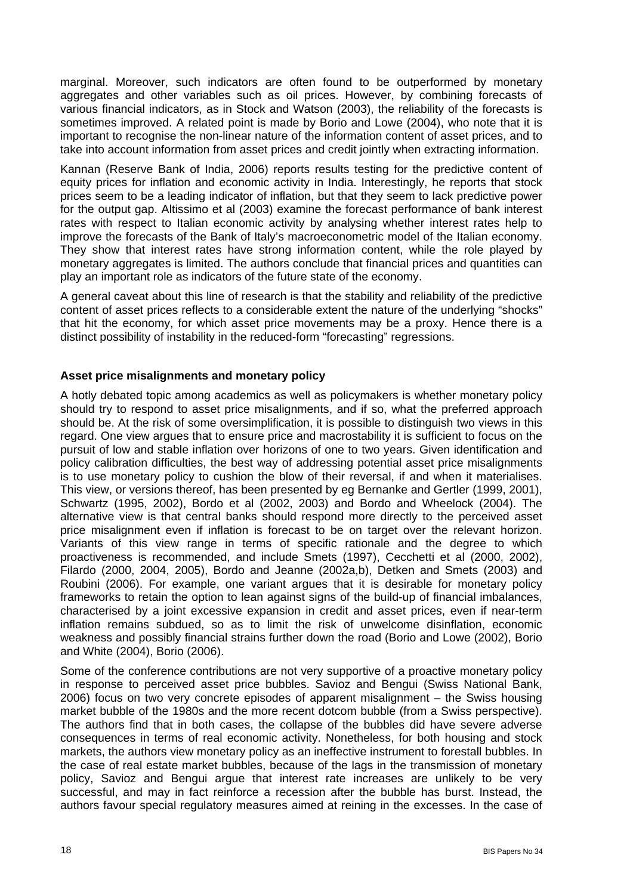marginal. Moreover, such indicators are often found to be outperformed by monetary aggregates and other variables such as oil prices. However, by combining forecasts of various financial indicators, as in Stock and Watson (2003), the reliability of the forecasts is sometimes improved. A related point is made by Borio and Lowe (2004), who note that it is important to recognise the non-linear nature of the information content of asset prices, and to take into account information from asset prices and credit jointly when extracting information.

Kannan (Reserve Bank of India, 2006) reports results testing for the predictive content of equity prices for inflation and economic activity in India. Interestingly, he reports that stock prices seem to be a leading indicator of inflation, but that they seem to lack predictive power for the output gap. Altissimo et al (2003) examine the forecast performance of bank interest rates with respect to Italian economic activity by analysing whether interest rates help to improve the forecasts of the Bank of Italy's macroeconometric model of the Italian economy. They show that interest rates have strong information content, while the role played by monetary aggregates is limited. The authors conclude that financial prices and quantities can play an important role as indicators of the future state of the economy.

A general caveat about this line of research is that the stability and reliability of the predictive content of asset prices reflects to a considerable extent the nature of the underlying "shocks" that hit the economy, for which asset price movements may be a proxy. Hence there is a distinct possibility of instability in the reduced-form "forecasting" regressions.

#### **Asset price misalignments and monetary policy**

A hotly debated topic among academics as well as policymakers is whether monetary policy should try to respond to asset price misalignments, and if so, what the preferred approach should be. At the risk of some oversimplification, it is possible to distinguish two views in this regard. One view argues that to ensure price and macrostability it is sufficient to focus on the pursuit of low and stable inflation over horizons of one to two years. Given identification and policy calibration difficulties, the best way of addressing potential asset price misalignments is to use monetary policy to cushion the blow of their reversal, if and when it materialises. This view, or versions thereof, has been presented by eg Bernanke and Gertler (1999, 2001), Schwartz (1995, 2002), Bordo et al (2002, 2003) and Bordo and Wheelock (2004). The alternative view is that central banks should respond more directly to the perceived asset price misalignment even if inflation is forecast to be on target over the relevant horizon. Variants of this view range in terms of specific rationale and the degree to which proactiveness is recommended, and include Smets (1997), Cecchetti et al (2000, 2002), Filardo (2000, 2004, 2005), Bordo and Jeanne (2002a,b), Detken and Smets (2003) and Roubini (2006). For example, one variant argues that it is desirable for monetary policy frameworks to retain the option to lean against signs of the build-up of financial imbalances, characterised by a joint excessive expansion in credit and asset prices, even if near-term inflation remains subdued, so as to limit the risk of unwelcome disinflation, economic weakness and possibly financial strains further down the road (Borio and Lowe (2002), Borio and White (2004), Borio (2006).

Some of the conference contributions are not very supportive of a proactive monetary policy in response to perceived asset price bubbles. Savioz and Bengui (Swiss National Bank, 2006) focus on two very concrete episodes of apparent misalignment – the Swiss housing market bubble of the 1980s and the more recent dotcom bubble (from a Swiss perspective). The authors find that in both cases, the collapse of the bubbles did have severe adverse consequences in terms of real economic activity. Nonetheless, for both housing and stock markets, the authors view monetary policy as an ineffective instrument to forestall bubbles. In the case of real estate market bubbles, because of the lags in the transmission of monetary policy, Savioz and Bengui argue that interest rate increases are unlikely to be very successful, and may in fact reinforce a recession after the bubble has burst. Instead, the authors favour special regulatory measures aimed at reining in the excesses. In the case of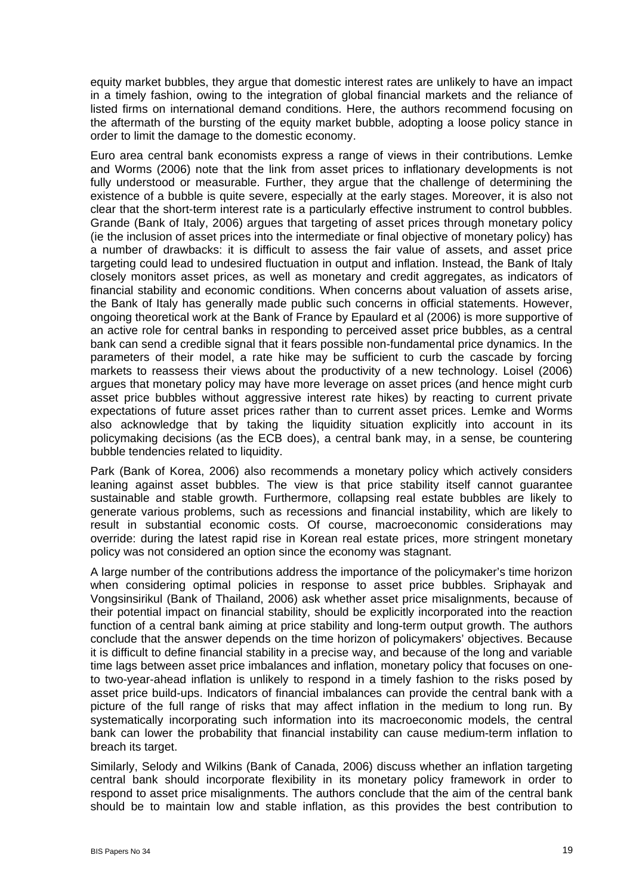equity market bubbles, they argue that domestic interest rates are unlikely to have an impact in a timely fashion, owing to the integration of global financial markets and the reliance of listed firms on international demand conditions. Here, the authors recommend focusing on the aftermath of the bursting of the equity market bubble, adopting a loose policy stance in order to limit the damage to the domestic economy.

Euro area central bank economists express a range of views in their contributions. Lemke and Worms (2006) note that the link from asset prices to inflationary developments is not fully understood or measurable. Further, they argue that the challenge of determining the existence of a bubble is quite severe, especially at the early stages. Moreover, it is also not clear that the short-term interest rate is a particularly effective instrument to control bubbles. Grande (Bank of Italy, 2006) argues that targeting of asset prices through monetary policy (ie the inclusion of asset prices into the intermediate or final objective of monetary policy) has a number of drawbacks: it is difficult to assess the fair value of assets, and asset price targeting could lead to undesired fluctuation in output and inflation. Instead, the Bank of Italy closely monitors asset prices, as well as monetary and credit aggregates, as indicators of financial stability and economic conditions. When concerns about valuation of assets arise, the Bank of Italy has generally made public such concerns in official statements. However, ongoing theoretical work at the Bank of France by Epaulard et al (2006) is more supportive of an active role for central banks in responding to perceived asset price bubbles, as a central bank can send a credible signal that it fears possible non-fundamental price dynamics. In the parameters of their model, a rate hike may be sufficient to curb the cascade by forcing markets to reassess their views about the productivity of a new technology. Loisel (2006) argues that monetary policy may have more leverage on asset prices (and hence might curb asset price bubbles without aggressive interest rate hikes) by reacting to current private expectations of future asset prices rather than to current asset prices. Lemke and Worms also acknowledge that by taking the liquidity situation explicitly into account in its policymaking decisions (as the ECB does), a central bank may, in a sense, be countering bubble tendencies related to liquidity.

Park (Bank of Korea, 2006) also recommends a monetary policy which actively considers leaning against asset bubbles. The view is that price stability itself cannot guarantee sustainable and stable growth. Furthermore, collapsing real estate bubbles are likely to generate various problems, such as recessions and financial instability, which are likely to result in substantial economic costs. Of course, macroeconomic considerations may override: during the latest rapid rise in Korean real estate prices, more stringent monetary policy was not considered an option since the economy was stagnant.

A large number of the contributions address the importance of the policymaker's time horizon when considering optimal policies in response to asset price bubbles. Sriphayak and Vongsinsirikul (Bank of Thailand, 2006) ask whether asset price misalignments, because of their potential impact on financial stability, should be explicitly incorporated into the reaction function of a central bank aiming at price stability and long-term output growth. The authors conclude that the answer depends on the time horizon of policymakers' objectives. Because it is difficult to define financial stability in a precise way, and because of the long and variable time lags between asset price imbalances and inflation, monetary policy that focuses on oneto two-year-ahead inflation is unlikely to respond in a timely fashion to the risks posed by asset price build-ups. Indicators of financial imbalances can provide the central bank with a picture of the full range of risks that may affect inflation in the medium to long run. By systematically incorporating such information into its macroeconomic models, the central bank can lower the probability that financial instability can cause medium-term inflation to breach its target.

Similarly, Selody and Wilkins (Bank of Canada, 2006) discuss whether an inflation targeting central bank should incorporate flexibility in its monetary policy framework in order to respond to asset price misalignments. The authors conclude that the aim of the central bank should be to maintain low and stable inflation, as this provides the best contribution to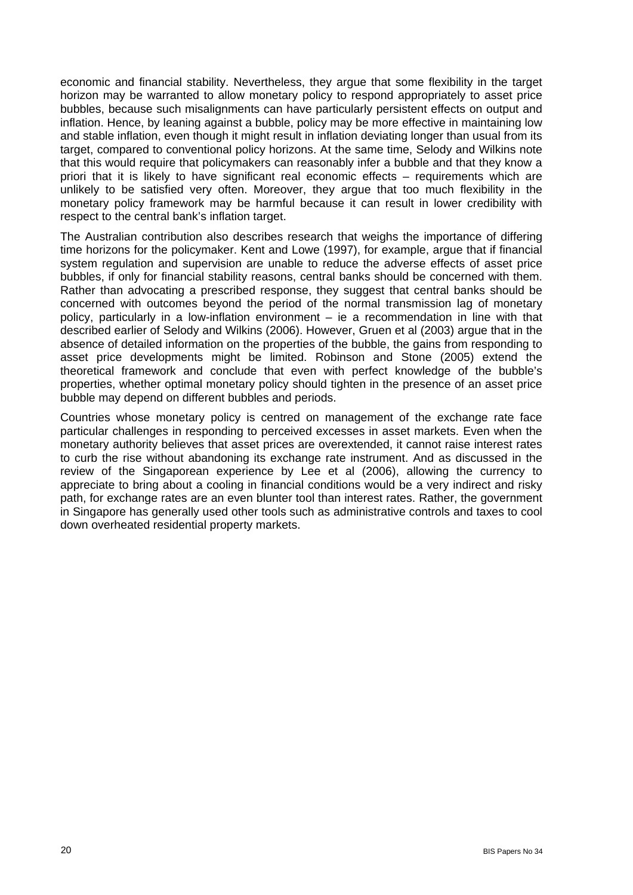economic and financial stability. Nevertheless, they argue that some flexibility in the target horizon may be warranted to allow monetary policy to respond appropriately to asset price bubbles, because such misalignments can have particularly persistent effects on output and inflation. Hence, by leaning against a bubble, policy may be more effective in maintaining low and stable inflation, even though it might result in inflation deviating longer than usual from its target, compared to conventional policy horizons. At the same time, Selody and Wilkins note that this would require that policymakers can reasonably infer a bubble and that they know a priori that it is likely to have significant real economic effects – requirements which are unlikely to be satisfied very often. Moreover, they argue that too much flexibility in the monetary policy framework may be harmful because it can result in lower credibility with respect to the central bank's inflation target.

The Australian contribution also describes research that weighs the importance of differing time horizons for the policymaker. Kent and Lowe (1997), for example, argue that if financial system regulation and supervision are unable to reduce the adverse effects of asset price bubbles, if only for financial stability reasons, central banks should be concerned with them. Rather than advocating a prescribed response, they suggest that central banks should be concerned with outcomes beyond the period of the normal transmission lag of monetary policy, particularly in a low-inflation environment – ie a recommendation in line with that described earlier of Selody and Wilkins (2006). However, Gruen et al (2003) argue that in the absence of detailed information on the properties of the bubble, the gains from responding to asset price developments might be limited. Robinson and Stone (2005) extend the theoretical framework and conclude that even with perfect knowledge of the bubble's properties, whether optimal monetary policy should tighten in the presence of an asset price bubble may depend on different bubbles and periods.

Countries whose monetary policy is centred on management of the exchange rate face particular challenges in responding to perceived excesses in asset markets. Even when the monetary authority believes that asset prices are overextended, it cannot raise interest rates to curb the rise without abandoning its exchange rate instrument. And as discussed in the review of the Singaporean experience by Lee et al (2006), allowing the currency to appreciate to bring about a cooling in financial conditions would be a very indirect and risky path, for exchange rates are an even blunter tool than interest rates. Rather, the government in Singapore has generally used other tools such as administrative controls and taxes to cool down overheated residential property markets.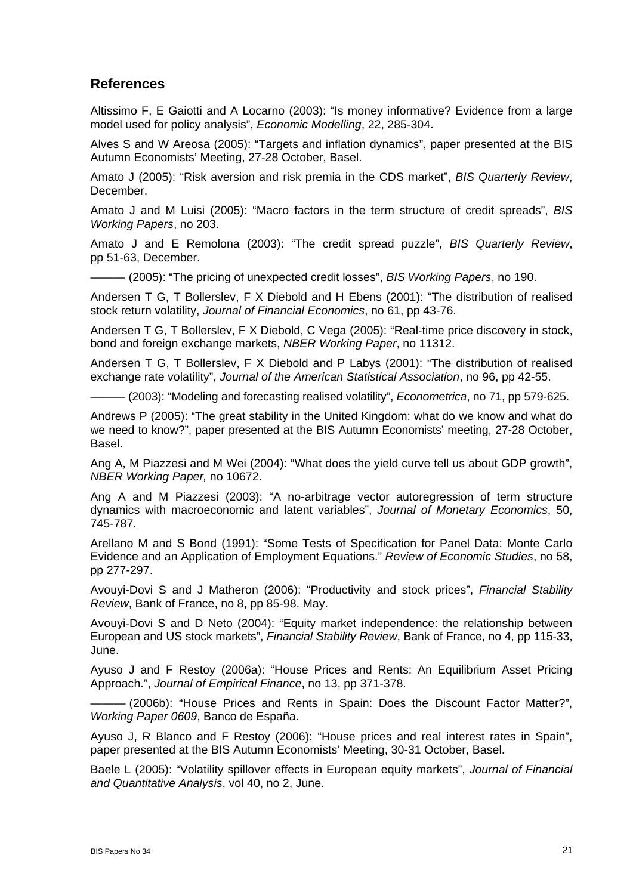## <span id="page-26-0"></span>**References**

Altissimo F, E Gaiotti and A Locarno (2003): "Is money informative? Evidence from a large model used for policy analysis", *Economic Modelling*, 22, 285-304.

Alves S and W Areosa (2005): "Targets and inflation dynamics", paper presented at the BIS Autumn Economists' Meeting, 27-28 October, Basel.

Amato J (2005): "Risk aversion and risk premia in the CDS market", *BIS Quarterly Review*, December.

Amato J and M Luisi (2005): "Macro factors in the term structure of credit spreads", *BIS Working Papers*, no 203.

Amato J and E Remolona (2003): "The credit spread puzzle", *BIS Quarterly Review*, pp 51-63, December.

——— (2005): "The pricing of unexpected credit losses", *BIS Working Papers*, no 190.

Andersen T G, T Bollerslev, F X Diebold and H Ebens (2001): "The distribution of realised stock return volatility, *Journal of Financial Economics*, no 61, pp 43-76.

Andersen T G, T Bollerslev, F X Diebold, C Vega (2005): "Real-time price discovery in stock, bond and foreign exchange markets, *NBER Working Paper*, no 11312.

Andersen T G, T Bollerslev, F X Diebold and P Labys (2001): "The distribution of realised exchange rate volatility", *Journal of the American Statistical Association*, no 96, pp 42-55.

——— (2003): "Modeling and forecasting realised volatility", *Econometrica*, no 71, pp 579-625.

Andrews P (2005): "The great stability in the United Kingdom: what do we know and what do we need to know?", paper presented at the BIS Autumn Economists' meeting, 27-28 October, Basel.

Ang A, M Piazzesi and M Wei (2004): "What does the yield curve tell us about GDP growth", *NBER Working Paper,* no 10672.

Ang A and M Piazzesi (2003): "A no-arbitrage vector autoregression of term structure dynamics with macroeconomic and latent variables", *Journal of Monetary Economics*, 50, 745-787.

Arellano M and S Bond (1991): "Some Tests of Specification for Panel Data: Monte Carlo Evidence and an Application of Employment Equations." *Review of Economic Studies*, no 58, pp 277-297.

Avouyi-Dovi S and J Matheron (2006): "Productivity and stock prices", *Financial Stability Review*, Bank of France, no 8, pp 85-98, May.

Avouyi-Dovi S and D Neto (2004): "Equity market independence: the relationship between European and US stock markets", *Financial Stability Review*, Bank of France, no 4, pp 115-33, June.

Ayuso J and F Restoy (2006a): "House Prices and Rents: An Equilibrium Asset Pricing Approach.", *Journal of Empirical Finance*, no 13, pp 371-378.

——— (2006b): "House Prices and Rents in Spain: Does the Discount Factor Matter?", *Working Paper 0609*, Banco de España.

Ayuso J, R Blanco and F Restoy (2006): "House prices and real interest rates in Spain", paper presented at the BIS Autumn Economists' Meeting, 30-31 October, Basel.

Baele L (2005): "Volatility spillover effects in European equity markets", *Journal of Financial and Quantitative Analysis*, vol 40, no 2, June.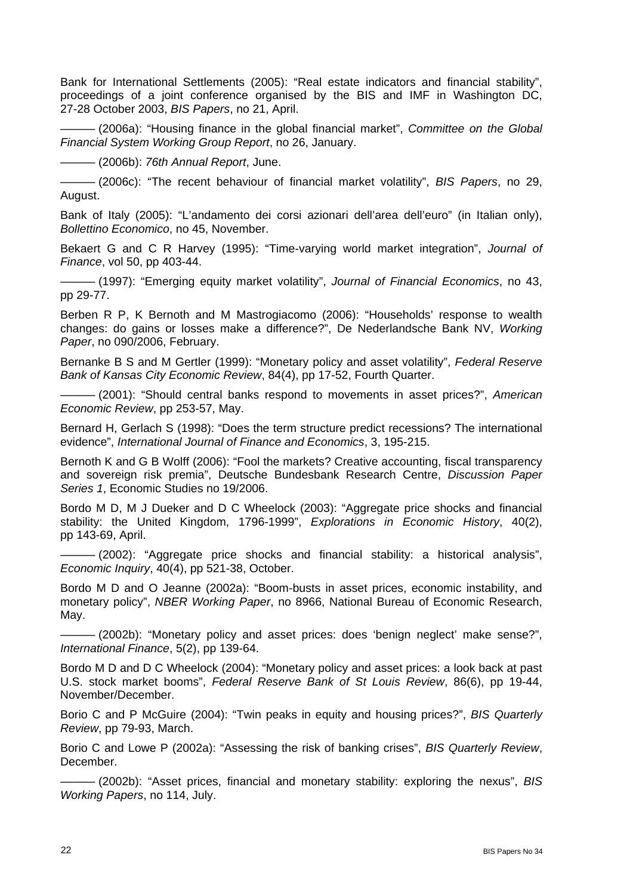Bank for International Settlements (2005): "Real estate indicators and financial stability", proceedings of a joint conference organised by the BIS and IMF in Washington DC, 27-28 October 2003, *BIS Papers*, no 21, April.

——— (2006a): "Housing finance in the global financial market", *Committee on the Global Financial System Working Group Report*, no 26, January.

——— (2006b): *76th Annual Report*, June.

——— (2006c): "The recent behaviour of financial market volatility", *BIS Papers*, no 29, August.

Bank of Italy (2005): "L'andamento dei corsi azionari dell'area dell'euro" (in Italian only), *Bollettino Economico*, no 45, November.

Bekaert G and C R Harvey (1995): "Time-varying world market integration", *Journal of Finance*, vol 50, pp 403-44.

——— (1997): "Emerging equity market volatility", *Journal of Financial Economics*, no 43, pp 29-77.

Berben R P, K Bernoth and M Mastrogiacomo (2006): "Households' response to wealth changes: do gains or losses make a difference?", De Nederlandsche Bank NV, *Working Paper*, no 090/2006, February.

Bernanke B S and M Gertler (1999): "Monetary policy and asset volatility", *Federal Reserve Bank of Kansas City Economic Review*, 84(4), pp 17-52, Fourth Quarter.

——— (2001): "Should central banks respond to movements in asset prices?", *American Economic Review*, pp 253-57, May.

Bernard H, Gerlach S (1998): "Does the term structure predict recessions? The international evidence", *International Journal of Finance and Economics*, 3, 195-215.

Bernoth K and G B Wolff (2006): "Fool the markets? Creative accounting, fiscal transparency and sovereign risk premia", Deutsche Bundesbank Research Centre, *Discussion Paper Series 1*, Economic Studies no 19/2006.

Bordo M D, M J Dueker and D C Wheelock (2003): "Aggregate price shocks and financial stability: the United Kingdom, 1796-1999", *Explorations in Economic History*, 40(2), pp 143-69, April.

——— (2002): "Aggregate price shocks and financial stability: a historical analysis", *Economic Inquiry*, 40(4), pp 521-38, October.

Bordo M D and O Jeanne (2002a): "Boom-busts in asset prices, economic instability, and monetary policy", *NBER Working Paper*, no 8966, National Bureau of Economic Research, May.

——— (2002b): "Monetary policy and asset prices: does 'benign neglect' make sense?", *International Finance*, 5(2), pp 139-64.

Bordo M D and D C Wheelock (2004): "Monetary policy and asset prices: a look back at past U.S. stock market booms", *Federal Reserve Bank of St Louis Review*, 86(6), pp 19-44, November/December.

Borio C and P McGuire (2004): "Twin peaks in equity and housing prices?", *BIS Quarterly Review*, pp 79-93, March.

Borio C and Lowe P (2002a): "Assessing the risk of banking crises", *BIS Quarterly Review*, December.

——— (2002b): "Asset prices, financial and monetary stability: exploring the nexus", *BIS Working Papers*, no 114, July.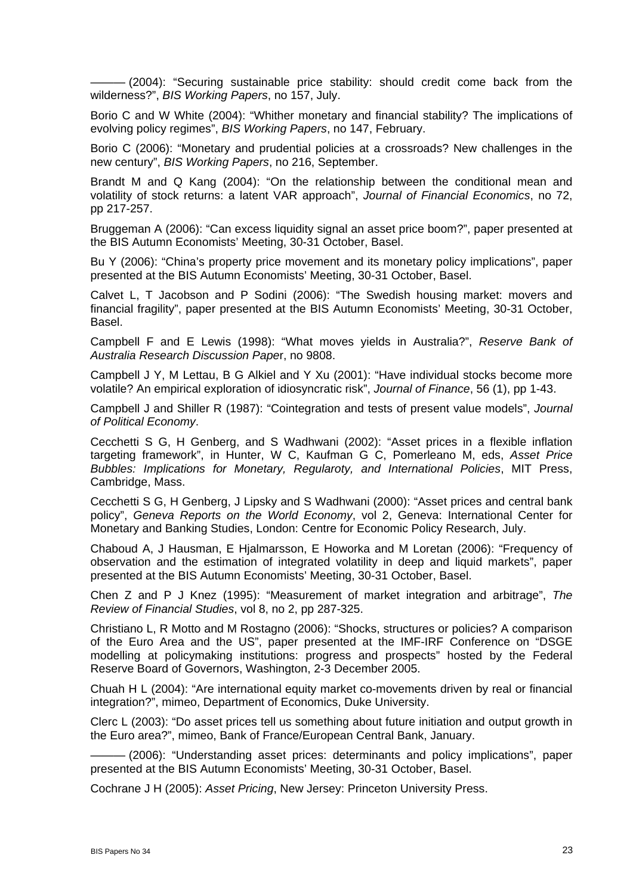- (2004): "Securing sustainable price stability: should credit come back from the wilderness?", *BIS Working Papers*, no 157, July.

Borio C and W White (2004): "Whither monetary and financial stability? The implications of evolving policy regimes", *BIS Working Papers*, no 147, February.

Borio C (2006): "Monetary and prudential policies at a crossroads? New challenges in the new century", *BIS Working Papers*, no 216, September.

Brandt M and Q Kang (2004): "On the relationship between the conditional mean and volatility of stock returns: a latent VAR approach", *Journal of Financial Economics*, no 72, pp 217-257.

Bruggeman A (2006): "Can excess liquidity signal an asset price boom?", paper presented at the BIS Autumn Economists' Meeting, 30-31 October, Basel.

Bu Y (2006): "China's property price movement and its monetary policy implications", paper presented at the BIS Autumn Economists' Meeting, 30-31 October, Basel.

Calvet L, T Jacobson and P Sodini (2006): "The Swedish housing market: movers and financial fragility", paper presented at the BIS Autumn Economists' Meeting, 30-31 October, Basel.

Campbell F and E Lewis (1998): "What moves yields in Australia?", *Reserve Bank of Australia Research Discussion Pape*r, no 9808.

Campbell J Y, M Lettau, B G Alkiel and Y Xu (2001): "Have individual stocks become more volatile? An empirical exploration of idiosyncratic risk", *Journal of Finance*, 56 (1), pp 1-43.

Campbell J and Shiller R (1987): "Cointegration and tests of present value models", *Journal of Political Economy*.

Cecchetti S G, H Genberg, and S Wadhwani (2002): "Asset prices in a flexible inflation targeting framework", in Hunter, W C, Kaufman G C, Pomerleano M, eds, *Asset Price Bubbles: Implications for Monetary, Regularoty, and International Policies*, MIT Press, Cambridge, Mass.

Cecchetti S G, H Genberg, J Lipsky and S Wadhwani (2000): "Asset prices and central bank policy", *Geneva Reports on the World Economy*, vol 2, Geneva: International Center for Monetary and Banking Studies, London: Centre for Economic Policy Research, July.

Chaboud A, J Hausman, E Hjalmarsson, E Howorka and M Loretan (2006): "Frequency of observation and the estimation of integrated volatility in deep and liquid markets", paper presented at the BIS Autumn Economists' Meeting, 30-31 October, Basel.

Chen Z and P J Knez (1995): "Measurement of market integration and arbitrage", *The Review of Financial Studies*, vol 8, no 2, pp 287-325.

Christiano L, R Motto and M Rostagno (2006): "Shocks, structures or policies? A comparison of the Euro Area and the US", paper presented at the IMF-IRF Conference on "DSGE modelling at policymaking institutions: progress and prospects" hosted by the Federal Reserve Board of Governors, Washington, 2-3 December 2005.

Chuah H L (2004): "Are international equity market co-movements driven by real or financial integration?", mimeo, Department of Economics, Duke University.

Clerc L (2003): "Do asset prices tell us something about future initiation and output growth in the Euro area?", mimeo, Bank of France/European Central Bank, January.

——— (2006): "Understanding asset prices: determinants and policy implications", paper presented at the BIS Autumn Economists' Meeting, 30-31 October, Basel.

Cochrane J H (2005): *Asset Pricing*, New Jersey: Princeton University Press.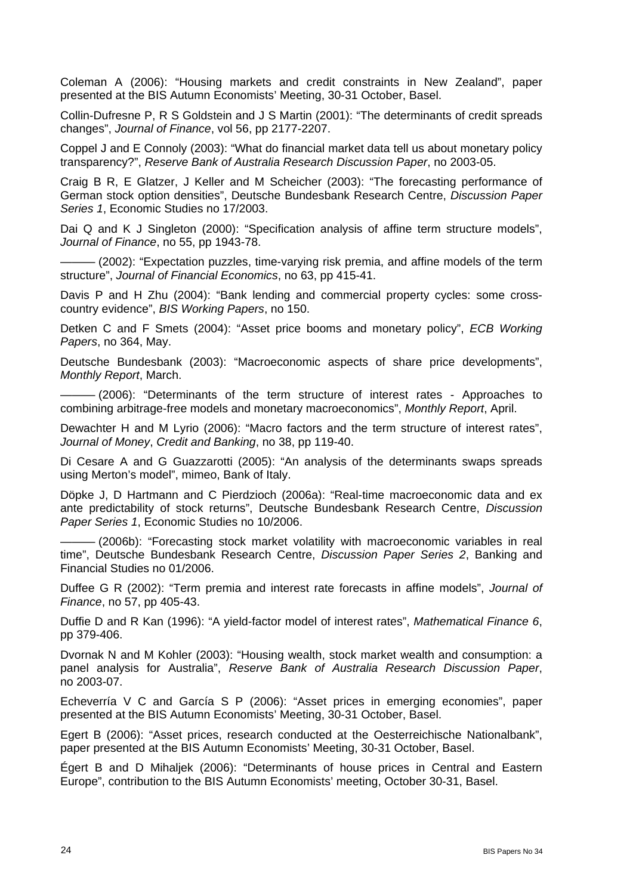Coleman A (2006): "Housing markets and credit constraints in New Zealand", paper presented at the BIS Autumn Economists' Meeting, 30-31 October, Basel.

Collin-Dufresne P, R S Goldstein and J S Martin (2001): "The determinants of credit spreads changes", *Journal of Finance*, vol 56, pp 2177-2207.

Coppel J and E Connoly (2003): "What do financial market data tell us about monetary policy transparency?", *Reserve Bank of Australia Research Discussion Paper*, no 2003-05.

Craig B R, E Glatzer, J Keller and M Scheicher (2003): "The forecasting performance of German stock option densities", Deutsche Bundesbank Research Centre, *Discussion Paper Series 1*, Economic Studies no 17/2003.

Dai Q and K J Singleton (2000): "Specification analysis of affine term structure models", *Journal of Finance*, no 55, pp 1943-78.

– (2002): "Expectation puzzles, time-varying risk premia, and affine models of the term structure", *Journal of Financial Economics*, no 63, pp 415-41.

Davis P and H Zhu (2004): "Bank lending and commercial property cycles: some crosscountry evidence", *BIS Working Papers*, no 150.

Detken C and F Smets (2004): "Asset price booms and monetary policy", *ECB Working Papers*, no 364, May.

Deutsche Bundesbank (2003): "Macroeconomic aspects of share price developments", *Monthly Report*, March.

——— (2006): "Determinants of the term structure of interest rates - Approaches to combining arbitrage-free models and monetary macroeconomics", *Monthly Report*, April.

Dewachter H and M Lyrio (2006): "Macro factors and the term structure of interest rates", *Journal of Money*, *Credit and Banking*, no 38, pp 119-40.

Di Cesare A and G Guazzarotti (2005): "An analysis of the determinants swaps spreads using Merton's model", mimeo, Bank of Italy.

Döpke J, D Hartmann and C Pierdzioch (2006a): "Real-time macroeconomic data and ex ante predictability of stock returns", Deutsche Bundesbank Research Centre, *Discussion Paper Series 1*, Economic Studies no 10/2006.

——— (2006b): "Forecasting stock market volatility with macroeconomic variables in real time", Deutsche Bundesbank Research Centre, *Discussion Paper Series 2*, Banking and Financial Studies no 01/2006.

Duffee G R (2002): "Term premia and interest rate forecasts in affine models", *Journal of Finance*, no 57, pp 405-43.

Duffie D and R Kan (1996): "A yield-factor model of interest rates", *Mathematical Finance 6*, pp 379-406.

Dvornak N and M Kohler (2003): "Housing wealth, stock market wealth and consumption: a panel analysis for Australia", *Reserve Bank of Australia Research Discussion Paper*, no 2003-07.

Echeverría V C and García S P (2006): "Asset prices in emerging economies", paper presented at the BIS Autumn Economists' Meeting, 30-31 October, Basel.

Egert B (2006): "Asset prices, research conducted at the Oesterreichische Nationalbank", paper presented at the BIS Autumn Economists' Meeting, 30-31 October, Basel.

Égert B and D Mihaljek (2006): "Determinants of house prices in Central and Eastern Europe", contribution to the BIS Autumn Economists' meeting, October 30-31, Basel.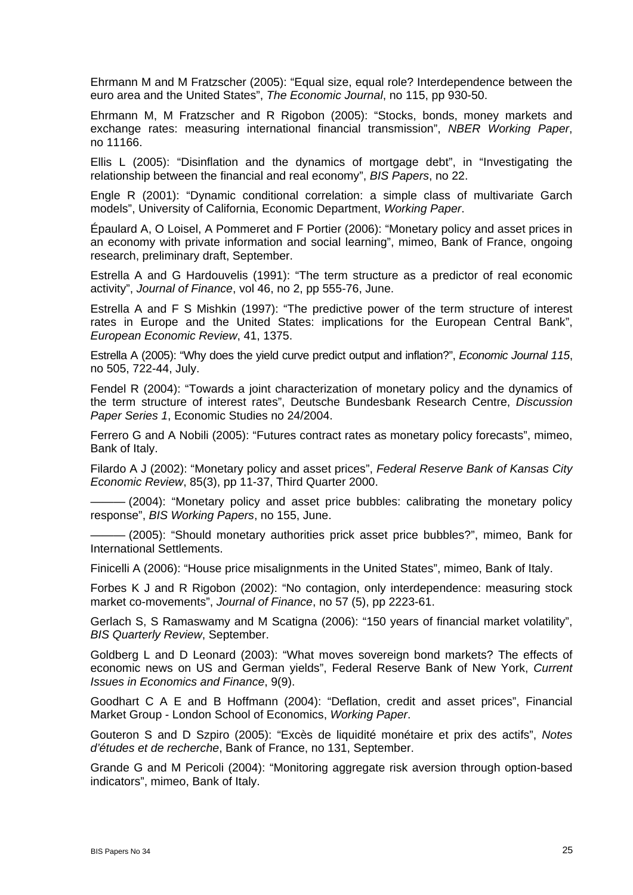Ehrmann M and M Fratzscher (2005): "Equal size, equal role? Interdependence between the euro area and the United States", *The Economic Journal*, no 115, pp 930-50.

Ehrmann M, M Fratzscher and R Rigobon (2005): "Stocks, bonds, money markets and exchange rates: measuring international financial transmission", *NBER Working Paper*, no 11166.

Ellis L (2005): "Disinflation and the dynamics of mortgage debt", in "Investigating the relationship between the financial and real economy", *BIS Papers*, no 22.

Engle R (2001): "Dynamic conditional correlation: a simple class of multivariate Garch models", University of California, Economic Department, *Working Paper*.

Épaulard A, O Loisel, A Pommeret and F Portier (2006): "Monetary policy and asset prices in an economy with private information and social learning", mimeo, Bank of France, ongoing research, preliminary draft, September.

Estrella A and G Hardouvelis (1991): "The term structure as a predictor of real economic activity", *Journal of Finance*, vol 46, no 2, pp 555-76, June.

Estrella A and F S Mishkin (1997): "The predictive power of the term structure of interest rates in Europe and the United States: implications for the European Central Bank", *European Economic Review*, 41, 1375.

Estrella A (2005): "Why does the yield curve predict output and inflation?", *Economic Journal 115*, no 505, 722-44, July.

Fendel R (2004): "Towards a joint characterization of monetary policy and the dynamics of the term structure of interest rates", Deutsche Bundesbank Research Centre, *Discussion Paper Series 1*, Economic Studies no 24/2004.

Ferrero G and A Nobili (2005): "Futures contract rates as monetary policy forecasts", mimeo, Bank of Italy.

Filardo A J (2002): "Monetary policy and asset prices", *Federal Reserve Bank of Kansas City Economic Review*, 85(3), pp 11-37, Third Quarter 2000.

- (2004): "Monetary policy and asset price bubbles: calibrating the monetary policy response", *BIS Working Papers*, no 155, June.

——— (2005): "Should monetary authorities prick asset price bubbles?", mimeo, Bank for International Settlements.

Finicelli A (2006): "House price misalignments in the United States", mimeo, Bank of Italy.

Forbes K J and R Rigobon (2002): "No contagion, only interdependence: measuring stock market co-movements", *Journal of Finance*, no 57 (5), pp 2223-61.

Gerlach S, S Ramaswamy and M Scatigna (2006): "150 years of financial market volatility", *BIS Quarterly Review*, September.

Goldberg L and D Leonard (2003): "What moves sovereign bond markets? The effects of economic news on US and German yields", Federal Reserve Bank of New York, *Current Issues in Economics and Finance*, 9(9).

Goodhart C A E and B Hoffmann (2004): "Deflation, credit and asset prices", Financial Market Group - London School of Economics, *Working Paper*.

Gouteron S and D Szpiro (2005): "Excès de liquidité monétaire et prix des actifs", *Notes d'études et de recherche*, Bank of France, no 131, September.

Grande G and M Pericoli (2004): "Monitoring aggregate risk aversion through option-based indicators", mimeo, Bank of Italy.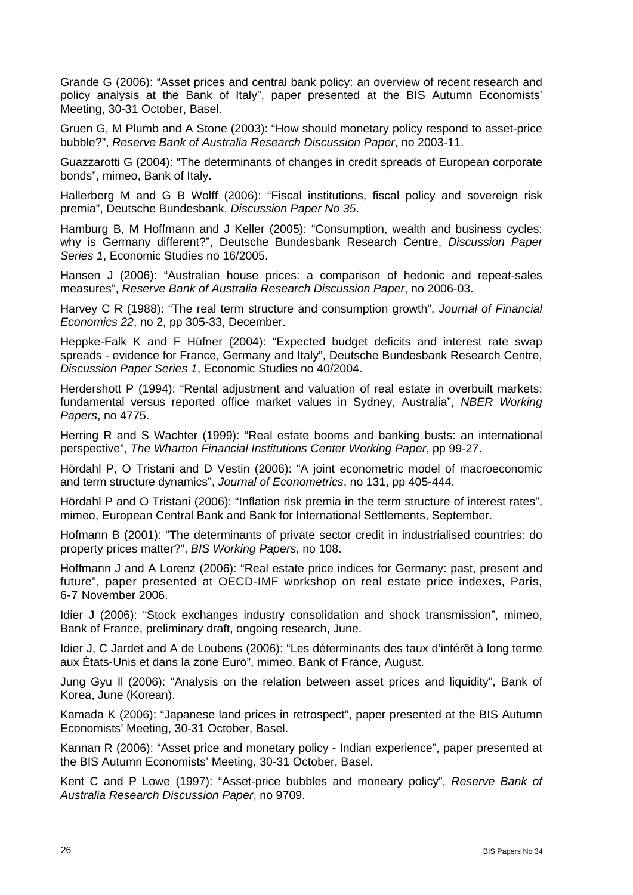Grande G (2006): "Asset prices and central bank policy: an overview of recent research and policy analysis at the Bank of Italy", paper presented at the BIS Autumn Economists' Meeting, 30-31 October, Basel.

Gruen G, M Plumb and A Stone (2003): "How should monetary policy respond to asset-price bubble?", *Reserve Bank of Australia Research Discussion Paper*, no 2003-11.

Guazzarotti G (2004): "The determinants of changes in credit spreads of European corporate bonds", mimeo, Bank of Italy.

Hallerberg M and G B Wolff (2006): "Fiscal institutions, fiscal policy and sovereign risk premia", Deutsche Bundesbank, *Discussion Paper No 35*.

Hamburg B, M Hoffmann and J Keller (2005): "Consumption, wealth and business cycles: why is Germany different?", Deutsche Bundesbank Research Centre, *Discussion Paper Series 1*, Economic Studies no 16/2005.

Hansen J (2006): "Australian house prices: a comparison of hedonic and repeat-sales measures", *Reserve Bank of Australia Research Discussion Paper*, no 2006-03.

Harvey C R (1988): "The real term structure and consumption growth", *Journal of Financial Economics 22*, no 2, pp 305-33, December.

Heppke-Falk K and F Hüfner (2004): "Expected budget deficits and interest rate swap spreads - evidence for France, Germany and Italy", Deutsche Bundesbank Research Centre, *Discussion Paper Series 1*, Economic Studies no 40/2004.

Herdershott P (1994): "Rental adjustment and valuation of real estate in overbuilt markets: fundamental versus reported office market values in Sydney, Australia", *NBER Working Papers*, no 4775.

Herring R and S Wachter (1999): "Real estate booms and banking busts: an international perspective", *The Wharton Financial Institutions Center Working Paper*, pp 99-27.

Hördahl P, O Tristani and D Vestin (2006): "A joint econometric model of macroeconomic and term structure dynamics", *Journal of Econometrics*, no 131, pp 405-444.

Hördahl P and O Tristani (2006): "Inflation risk premia in the term structure of interest rates", mimeo, European Central Bank and Bank for International Settlements, September.

Hofmann B (2001): "The determinants of private sector credit in industrialised countries: do property prices matter?", *BIS Working Papers*, no 108.

Hoffmann J and A Lorenz (2006): "Real estate price indices for Germany: past, present and future", paper presented at OECD-IMF workshop on real estate price indexes, Paris, 6-7 November 2006.

Idier J (2006): "Stock exchanges industry consolidation and shock transmission", mimeo, Bank of France, preliminary draft, ongoing research, June.

Idier J, C Jardet and A de Loubens (2006): "Les déterminants des taux d'intérêt à long terme aux États-Unis et dans la zone Euro", mimeo, Bank of France, August.

Jung Gyu Il (2006): "Analysis on the relation between asset prices and liquidity", Bank of Korea, June (Korean).

Kamada K (2006): "Japanese land prices in retrospect", paper presented at the BIS Autumn Economists' Meeting, 30-31 October, Basel.

Kannan R (2006): "Asset price and monetary policy - Indian experience", paper presented at the BIS Autumn Economists' Meeting, 30-31 October, Basel.

Kent C and P Lowe (1997): "Asset-price bubbles and moneary policy", *Reserve Bank of Australia Research Discussion Paper*, no 9709.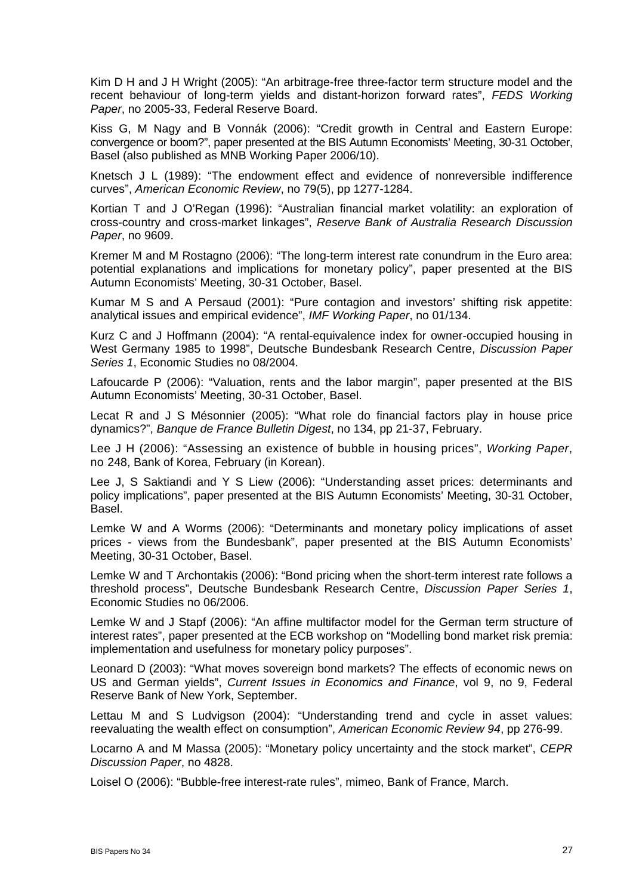Kim D H and J H Wright (2005): "An arbitrage-free three-factor term structure model and the recent behaviour of long-term yields and distant-horizon forward rates", *FEDS Working Paper*, no 2005-33, Federal Reserve Board.

Kiss G, M Nagy and B Vonnák (2006): "Credit growth in Central and Eastern Europe: convergence or boom?", paper presented at the BIS Autumn Economists' Meeting, 30-31 October, Basel (also published as MNB Working Paper 2006/10).

Knetsch J L (1989): "The endowment effect and evidence of nonreversible indifference curves", *American Economic Review*, no 79(5), pp 1277-1284.

Kortian T and J O'Regan (1996): "Australian financial market volatility: an exploration of cross-country and cross-market linkages", *Reserve Bank of Australia Research Discussion Paper*, no 9609.

Kremer M and M Rostagno (2006): "The long-term interest rate conundrum in the Euro area: potential explanations and implications for monetary policy", paper presented at the BIS Autumn Economists' Meeting, 30-31 October, Basel.

Kumar M S and A Persaud (2001): "Pure contagion and investors' shifting risk appetite: analytical issues and empirical evidence", *IMF Working Paper*, no 01/134.

Kurz C and J Hoffmann (2004): "A rental-equivalence index for owner-occupied housing in West Germany 1985 to 1998", Deutsche Bundesbank Research Centre, *Discussion Paper Series 1*, Economic Studies no 08/2004.

Lafoucarde P (2006): "Valuation, rents and the labor margin", paper presented at the BIS Autumn Economists' Meeting, 30-31 October, Basel.

Lecat R and J S Mésonnier (2005): "What role do financial factors play in house price dynamics?", *Banque de France Bulletin Digest*, no 134, pp 21-37, February.

Lee J H (2006): "Assessing an existence of bubble in housing prices", *Working Paper*, no 248, Bank of Korea, February (in Korean).

Lee J, S Saktiandi and Y S Liew (2006): "Understanding asset prices: determinants and policy implications", paper presented at the BIS Autumn Economists' Meeting, 30-31 October, Basel.

Lemke W and A Worms (2006): "Determinants and monetary policy implications of asset prices - views from the Bundesbank", paper presented at the BIS Autumn Economists' Meeting, 30-31 October, Basel.

Lemke W and T Archontakis (2006): "Bond pricing when the short-term interest rate follows a threshold process", Deutsche Bundesbank Research Centre, *Discussion Paper Series 1*, Economic Studies no 06/2006.

Lemke W and J Stapf (2006): "An affine multifactor model for the German term structure of interest rates", paper presented at the ECB workshop on "Modelling bond market risk premia: implementation and usefulness for monetary policy purposes".

Leonard D (2003): "What moves sovereign bond markets? The effects of economic news on US and German yields", *Current Issues in Economics and Finance*, vol 9, no 9, Federal Reserve Bank of New York, September.

Lettau M and S Ludvigson (2004): "Understanding trend and cycle in asset values: reevaluating the wealth effect on consumption", *American Economic Review 94*, pp 276-99.

Locarno A and M Massa (2005): "Monetary policy uncertainty and the stock market", *CEPR Discussion Paper*, no 4828.

Loisel O (2006): "Bubble-free interest-rate rules", mimeo, Bank of France, March.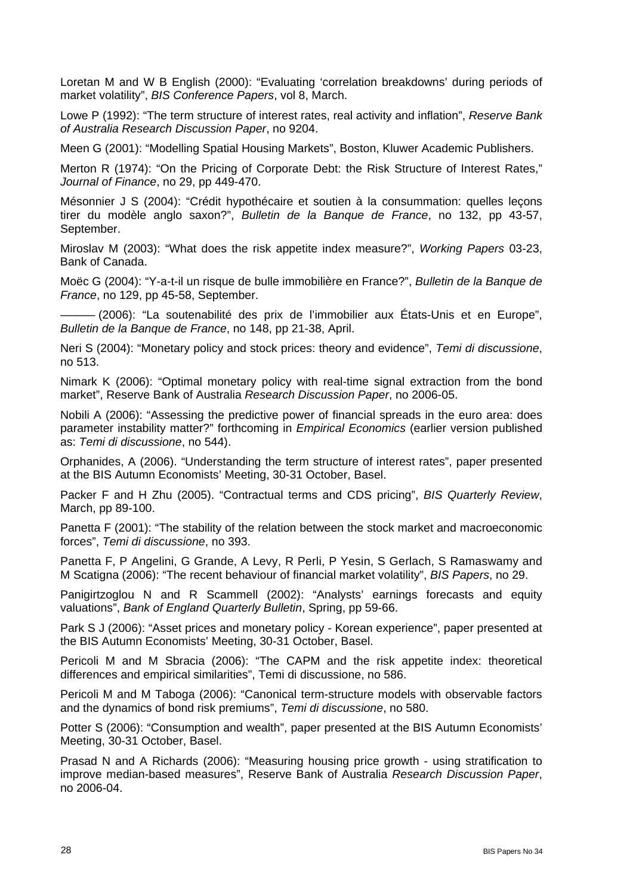Loretan M and W B English (2000): "Evaluating 'correlation breakdowns' during periods of market volatility", *BIS Conference Papers*, vol 8, March.

Lowe P (1992): "The term structure of interest rates, real activity and inflation", *Reserve Bank of Australia Research Discussion Paper*, no 9204.

Meen G (2001): "Modelling Spatial Housing Markets", Boston, Kluwer Academic Publishers.

Merton R (1974): "On the Pricing of Corporate Debt: the Risk Structure of Interest Rates," *Journal of Finance*, no 29, pp 449-470.

Mésonnier J S (2004): "Crédit hypothécaire et soutien à la consummation: quelles leçons tirer du modèle anglo saxon?", *Bulletin de la Banque de France*, no 132, pp 43-57, September.

Miroslav M (2003): "What does the risk appetite index measure?", *Working Papers* 03-23, Bank of Canada.

Moëc G (2004): "Y-a-t-il un risque de bulle immobilière en France?", *Bulletin de la Banque de France*, no 129, pp 45-58, September.

——— (2006): "La soutenabilité des prix de l'immobilier aux États-Unis et en Europe", *Bulletin de la Banque de France*, no 148, pp 21-38, April.

Neri S (2004): "Monetary policy and stock prices: theory and evidence", *Temi di discussione*, no 513.

Nimark K (2006): "Optimal monetary policy with real-time signal extraction from the bond market", Reserve Bank of Australia *Research Discussion Paper*, no 2006-05.

Nobili A (2006): "Assessing the predictive power of financial spreads in the euro area: does parameter instability matter?" forthcoming in *Empirical Economics* (earlier version published as: *Temi di discussione*, no 544).

Orphanides, A (2006). "Understanding the term structure of interest rates", paper presented at the BIS Autumn Economists' Meeting, 30-31 October, Basel.

Packer F and H Zhu (2005). "Contractual terms and CDS pricing", *BIS Quarterly Review*, March, pp 89-100.

Panetta F (2001): "The stability of the relation between the stock market and macroeconomic forces", *Temi di discussione*, no 393.

Panetta F, P Angelini, G Grande, A Levy, R Perli, P Yesin, S Gerlach, S Ramaswamy and M Scatigna (2006): "The recent behaviour of financial market volatility", *BIS Papers*, no 29.

Panigirtzoglou N and R Scammell (2002): "Analysts' earnings forecasts and equity valuations", *Bank of England Quarterly Bulletin*, Spring, pp 59-66.

Park S J (2006): "Asset prices and monetary policy - Korean experience", paper presented at the BIS Autumn Economists' Meeting, 30-31 October, Basel.

Pericoli M and M Sbracia (2006): "The CAPM and the risk appetite index: theoretical differences and empirical similarities", Temi di discussione, no 586.

Pericoli M and M Taboga (2006): "Canonical term-structure models with observable factors and the dynamics of bond risk premiums", *Temi di discussione*, no 580.

Potter S (2006): "Consumption and wealth", paper presented at the BIS Autumn Economists' Meeting, 30-31 October, Basel.

Prasad N and A Richards (2006): "Measuring housing price growth - using stratification to improve median-based measures", Reserve Bank of Australia *Research Discussion Paper*, no 2006-04.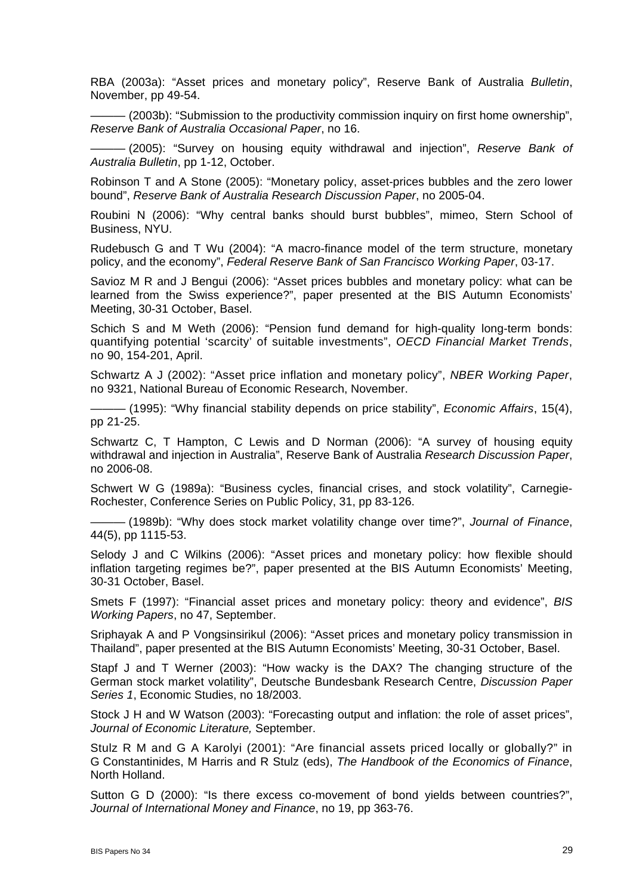RBA (2003a): "Asset prices and monetary policy", Reserve Bank of Australia *Bulletin*, November, pp 49-54.

——— (2003b): "Submission to the productivity commission inquiry on first home ownership", *Reserve Bank of Australia Occasional Paper*, no 16.

——— (2005): "Survey on housing equity withdrawal and injection", *Reserve Bank of Australia Bulletin*, pp 1-12, October.

Robinson T and A Stone (2005): "Monetary policy, asset-prices bubbles and the zero lower bound", *Reserve Bank of Australia Research Discussion Paper*, no 2005-04.

Roubini N (2006): "Why central banks should burst bubbles", mimeo, Stern School of Business, NYU.

Rudebusch G and T Wu (2004): "A macro-finance model of the term structure, monetary policy, and the economy", *Federal Reserve Bank of San Francisco Working Paper*, 03-17.

Savioz M R and J Bengui (2006): "Asset prices bubbles and monetary policy: what can be learned from the Swiss experience?", paper presented at the BIS Autumn Economists' Meeting, 30-31 October, Basel.

Schich S and M Weth (2006): "Pension fund demand for high-quality long-term bonds: quantifying potential 'scarcity' of suitable investments", *OECD Financial Market Trends*, no 90, 154-201, April.

Schwartz A J (2002): "Asset price inflation and monetary policy", *NBER Working Paper*, no 9321, National Bureau of Economic Research, November.

——— (1995): "Why financial stability depends on price stability", *Economic Affairs*, 15(4), pp 21-25.

Schwartz C, T Hampton, C Lewis and D Norman (2006): "A survey of housing equity withdrawal and injection in Australia", Reserve Bank of Australia *Research Discussion Paper*, no 2006-08.

Schwert W G (1989a): "Business cycles, financial crises, and stock volatility", Carnegie-Rochester, Conference Series on Public Policy, 31, pp 83-126.

——— (1989b): "Why does stock market volatility change over time?", *Journal of Finance*, 44(5), pp 1115-53.

Selody J and C Wilkins (2006): "Asset prices and monetary policy: how flexible should inflation targeting regimes be?", paper presented at the BIS Autumn Economists' Meeting, 30-31 October, Basel.

Smets F (1997): "Financial asset prices and monetary policy: theory and evidence", *BIS Working Papers*, no 47, September.

Sriphayak A and P Vongsinsirikul (2006): "Asset prices and monetary policy transmission in Thailand", paper presented at the BIS Autumn Economists' Meeting, 30-31 October, Basel.

Stapf J and T Werner (2003): "How wacky is the DAX? The changing structure of the German stock market volatility", Deutsche Bundesbank Research Centre, *Discussion Paper Series 1*, Economic Studies, no 18/2003.

Stock J H and W Watson (2003): "Forecasting output and inflation: the role of asset prices", *Journal of Economic Literature,* September.

Stulz R M and G A Karolyi (2001): "Are financial assets priced locally or globally?" in G Constantinides, M Harris and R Stulz (eds), *The Handbook of the Economics of Finance*, North Holland.

Sutton G D (2000): "Is there excess co-movement of bond yields between countries?", *Journal of International Money and Finance*, no 19, pp 363-76.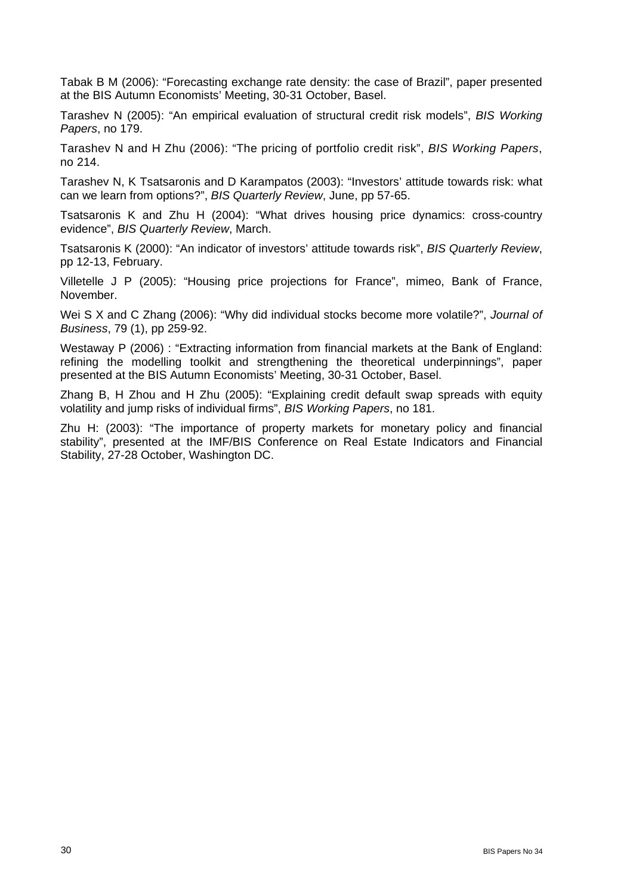Tabak B M (2006): "Forecasting exchange rate density: the case of Brazil", paper presented at the BIS Autumn Economists' Meeting, 30-31 October, Basel.

Tarashev N (2005): "An empirical evaluation of structural credit risk models", *BIS Working Papers*, no 179.

Tarashev N and H Zhu (2006): "The pricing of portfolio credit risk", *BIS Working Papers*, no 214.

Tarashev N, K Tsatsaronis and D Karampatos (2003): "Investors' attitude towards risk: what can we learn from options?", *BIS Quarterly Review*, June, pp 57-65.

Tsatsaronis K and Zhu H (2004): "What drives housing price dynamics: cross-country evidence", *BIS Quarterly Review*, March.

Tsatsaronis K (2000): "An indicator of investors' attitude towards risk", *BIS Quarterly Review*, pp 12-13, February.

Villetelle J P (2005): "Housing price projections for France", mimeo, Bank of France, November.

Wei S X and C Zhang (2006): "Why did individual stocks become more volatile?", *Journal of Business*, 79 (1), pp 259-92.

Westaway P (2006) : "Extracting information from financial markets at the Bank of England: refining the modelling toolkit and strengthening the theoretical underpinnings", paper presented at the BIS Autumn Economists' Meeting, 30-31 October, Basel.

Zhang B, H Zhou and H Zhu (2005): "Explaining credit default swap spreads with equity volatility and jump risks of individual firms", *BIS Working Papers*, no 181.

Zhu H: (2003): "The importance of property markets for monetary policy and financial stability", presented at the IMF/BIS Conference on Real Estate Indicators and Financial Stability, 27-28 October, Washington DC.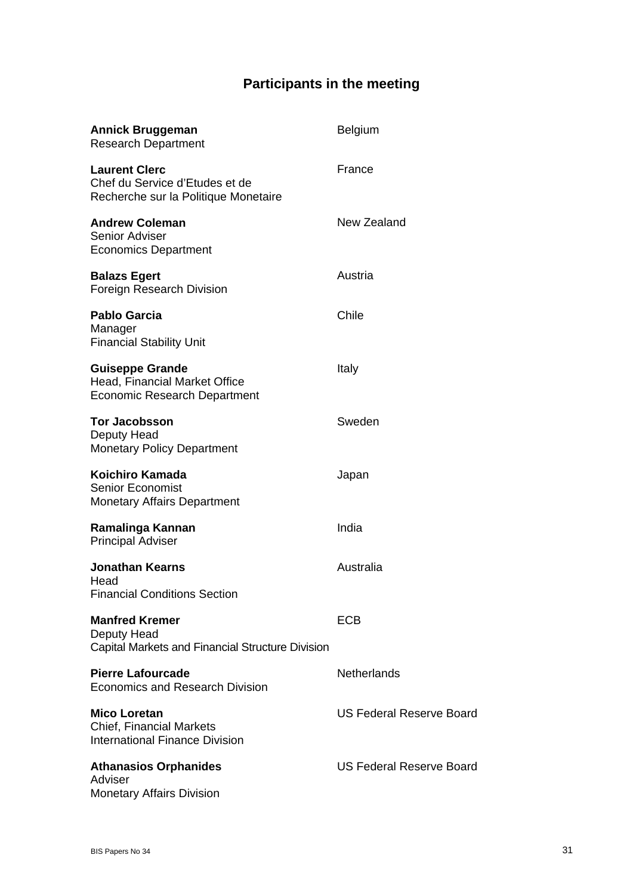## **Participants in the meeting**

| <b>Annick Bruggeman</b><br><b>Research Department</b>                                           | <b>Belgium</b>           |
|-------------------------------------------------------------------------------------------------|--------------------------|
| <b>Laurent Clerc</b><br>Chef du Service d'Etudes et de<br>Recherche sur la Politique Monetaire  | France                   |
| <b>Andrew Coleman</b><br>Senior Adviser<br><b>Economics Department</b>                          | New Zealand              |
| <b>Balazs Egert</b><br><b>Foreign Research Division</b>                                         | Austria                  |
| <b>Pablo Garcia</b><br>Manager<br><b>Financial Stability Unit</b>                               | Chile                    |
| <b>Guiseppe Grande</b><br>Head, Financial Market Office<br><b>Economic Research Department</b>  | Italy                    |
| <b>Tor Jacobsson</b><br>Deputy Head<br><b>Monetary Policy Department</b>                        | Sweden                   |
| Koichiro Kamada<br><b>Senior Economist</b><br><b>Monetary Affairs Department</b>                | Japan                    |
| Ramalinga Kannan<br><b>Principal Adviser</b>                                                    | India                    |
| <b>Jonathan Kearns</b><br>Head<br><b>Financial Conditions Section</b>                           | Australia                |
| <b>Manfred Kremer</b><br>Deputy Head<br>Capital Markets and Financial Structure Division        | ECB                      |
| <b>Pierre Lafourcade</b><br><b>Economics and Research Division</b>                              | <b>Netherlands</b>       |
| <b>Mico Loretan</b><br><b>Chief, Financial Markets</b><br><b>International Finance Division</b> | US Federal Reserve Board |
| <b>Athanasios Orphanides</b><br>Adviser<br><b>Monetary Affairs Division</b>                     | US Federal Reserve Board |